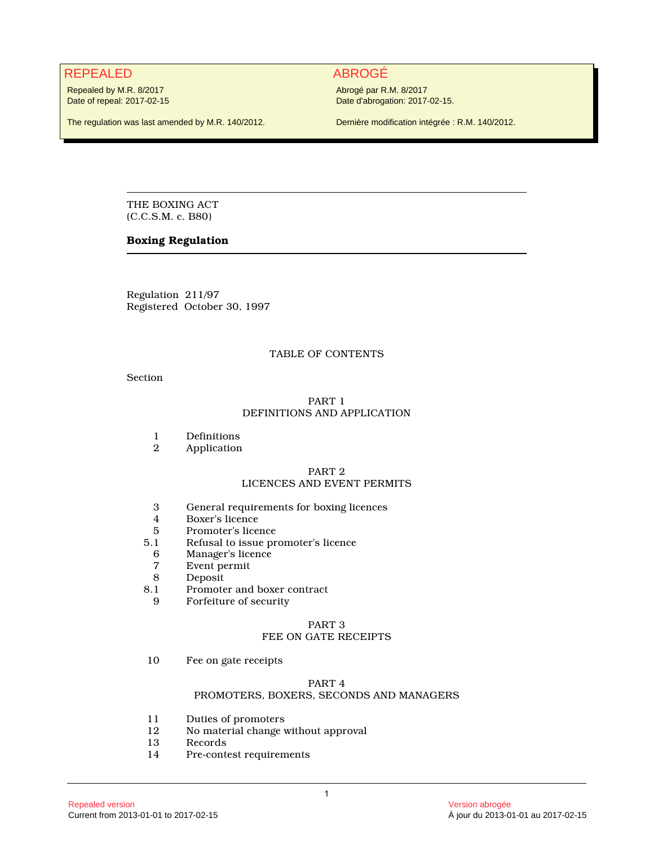# REPEALED ABROGÉ

Repealed by M.R. 8/2017 Date of repeal: 2017-02-15

The regulation was last amended by M.R. 140/2012.

Abrogé par R.M. 8/2017 Date d'abrogation: 2017-02-15.

Dernière modification intégrée : R.M. 140/2012.

THE BOXING ACT (C.C.S.M. c. B80)

# **Boxing Regulation**

Regulation 211/97 Registered October 30, 1997

# TABLE OF CONTENTS

Section

# PART 1 DEFINITIONS AND APPLICATION

- 
- 1 Definitions<br>2 Application **Application**

# PART 2

# LICENCES AND EVENT PERMITS

- 3 General requirements for boxing licences
- 4 Boxer's licence<br>5 Promoter's licen
- 5 Promoter's licence<br>5.1 Refusal to issue pr
- 5.1 Refusal to issue promoter's licence
- 6 Manager's licence
- 7 Event permit
- 8 Deposit<br>8.1 Promote
- 1 Promoter and boxer contract<br>9 Forfeiture of security
- Forfeiture of security

#### PART 3 FEE ON GATE RECEIPTS

10 Fee on gate receipts

# PART 4

# PROMOTERS, BOXERS, SECONDS AND MANAGERS

- 11 Duties of promoters<br>12 No material change v
- 12 No material change without approval<br>13 Records
- **Records**
- 14 Pre-contest requirements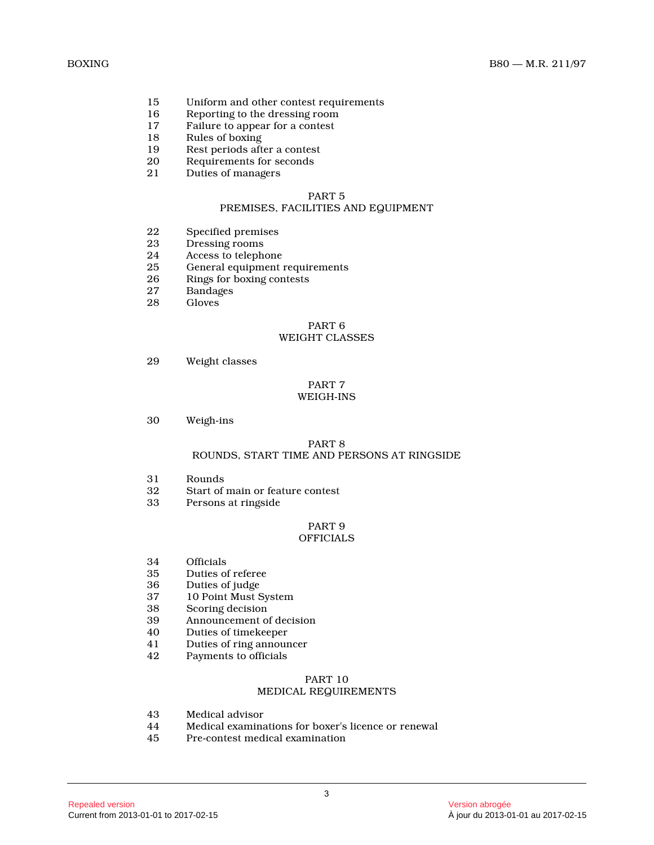- 15 Uniform and other contest requirements<br>16 Reporting to the dressing room
- 16 Reporting to the dressing room<br>17 Failure to appear for a contest
- Failure to appear for a contest
- 18 Rules of boxing
- 19 Rest periods after a contest<br>20 Requirements for seconds
- 20 Requirements for seconds<br>21 Duties of managers
	- Duties of managers

#### PART 5 PREMISES, FACILITIES AND EQUIPMENT

- 22 Specified premises<br>23 Dressing rooms
- 23 Dressing rooms<br>24 Access to teleph
- 24 Access to telephone<br>25 General equipment
- General equipment requirements
- 26 Rings for boxing contests<br>27 Bandages
- 27 Bandages<br>28 Gloves
- Gloves

# PART 6

# WEIGHT CLASSES

29 Weight classes

# PART 7 WEIGH-INS

30 Weigh-ins

#### PART 8 ROUNDS, START TIME AND PERSONS AT RINGSIDE

- 31 Rounds<br>32 Start of
- 32 Start of main or feature contest<br>33 Persons at ringside
- Persons at ringside

#### PART 9 OFFICIALS

- 34 Officials<br>35 Duties of
- Duties of referee
- 36 Duties of judge
- 37 10 Point Must System
- 38 Scoring decision<br>39 Announcement of
- 39 Announcement of decision<br>40 Duties of timekeeper
- 40 Duties of timekeeper
- 41 Duties of ring announcer
- 42 Payments to officials

#### PART 10

# MEDICAL REQUIREMENTS

- 43 Medical advisor
- 44 Medical examinations for boxer's licence or renewal
- Pre-contest medical examination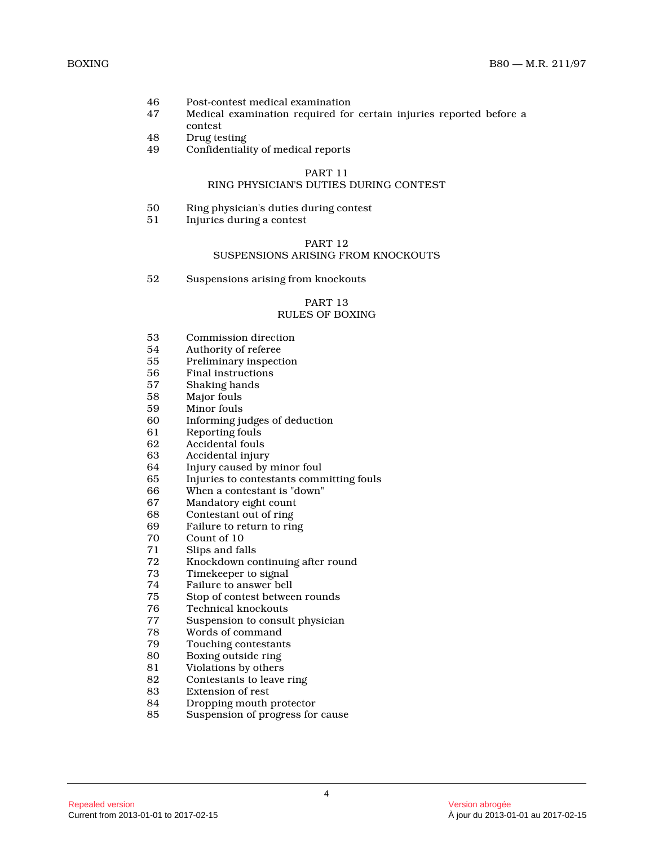- 46 Post-contest medical examination<br>47 Medical examination required for
- 47 Medical examination required for certain injuries reported before a
- contest
- 48 Drug testing
- 49 Confidentiality of medical reports

#### PART 11

# RING PHYSICIAN'S DUTIES DURING CONTEST

- 50 Ring physician's duties during contest
- 51 Injuries during a contest

# PART 12

# SUSPENSIONS ARISING FROM KNOCKOUTS

52 Suspensions arising from knockouts

# PART 13 RULES OF BOXING

- 53 Commission direction
- 54 Authority of referee<br>55 Preliminary inspect
- 55 Preliminary inspection<br>56 Final instructions
- Final instructions
- 57 Shaking hands
- 58 Major fouls
- 59 Minor fouls
- Informing judges of deduction
- 61 Reporting fouls<br>62 Accidental fouls
- 62 Accidental fouls
- 63 Accidental injury<br>64 Injury caused by
- Injury caused by minor foul
- 65 Injuries to contestants committing fouls<br>66 When a contestant is "down"
- 66 When a contestant is "down"
- Mandatory eight count
- 68 Contestant out of ring
- 69 Failure to return to ring
- 70 Count of 10
- 71 Slips and falls
- 72 Knockdown continuing after round<br>73 Timekeeper to signal
- Timekeeper to signal
- 74 Failure to answer bell
- 75 Stop of contest between rounds
- 76 Technical knockouts<br>77 Suspension to consul
- 77 Suspension to consult physician
- Words of command
- 79 Touching contestants
- 80 Boxing outside ring<br>81 Violations by others
- Violations by others
- 82 Contestants to leave ring
- 83 Extension of rest<br>84 Dropping mouth
- 84 Dropping mouth protector<br>85 Suspension of progress for
- Suspension of progress for cause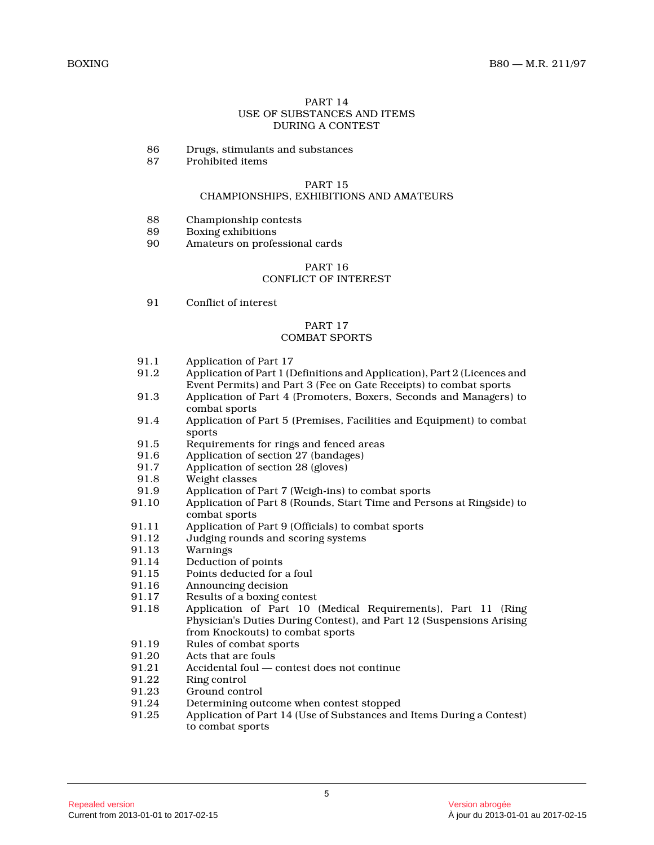# PART 14 USE OF SUBSTANCES AND ITEMS DURING A CONTEST

- 86 Drugs, stimulants and substances<br>87 Prohibited items
- 87 Prohibited items

#### PART 15

# CHAMPIONSHIPS, EXHIBITIONS AND AMATEURS

- 88 Championship contests<br>89 Boxing exhibitions
- 89 Boxing exhibitions<br>90 Amateurs on profes
- Amateurs on professional cards

#### PART 16 CONFLICT OF INTEREST

91 Conflict of interest

# PART 17

# COMBAT SPORTS

- 91.1 Application of Part 17<br>91.2 Application of Part 1 (D
- Application of Part 1 (Definitions and Application), Part 2 (Licences and Event Permits) and Part 3 (Fee on Gate Receipts) to combat sports
- 91.3 Application of Part 4 (Promoters, Boxers, Seconds and Managers) to combat sports
- 91.4 Application of Part 5 (Premises, Facilities and Equipment) to combat sports
- 91.5 Requirements for rings and fenced areas
- 91.6 Application of section 27 (bandages)<br>91.7 Application of section 28 (gloves)
- Application of section 28 (gloves)
- 91.8 Weight classes
- 91.9 Application of Part 7 (Weigh-ins) to combat sports<br>91.10 Application of Part 8 (Rounds, Start Time and Pers
- Application of Part 8 (Rounds, Start Time and Persons at Ringside) to combat sports
- 91.11 Application of Part 9 (Officials) to combat sports
- 91.12 Judging rounds and scoring systems
- 91.13 Warnings
- 91.14 Deduction of points<br>91.15 Points deducted for
- Points deducted for a foul
- 91.16 Announcing decision
- 91.17 Results of a boxing contest
- 91.18 Application of Part 10 (Medical Requirements), Part 11 (Ring Physician's Duties During Contest), and Part 12 (Suspensions Arising from Knockouts) to combat sports
- 91.19 Rules of combat sports
- 91.20 Acts that are fouls<br>91.21 Accidental foul 0
- Accidental foul contest does not continue
- 91.22 Ring control
- 91.23 Ground control<br>91.24 Determining out
- 91.24 Determining outcome when contest stopped<br>91.25 Application of Part 14 (Use of Substances and
- Application of Part 14 (Use of Substances and Items During a Contest) to combat sports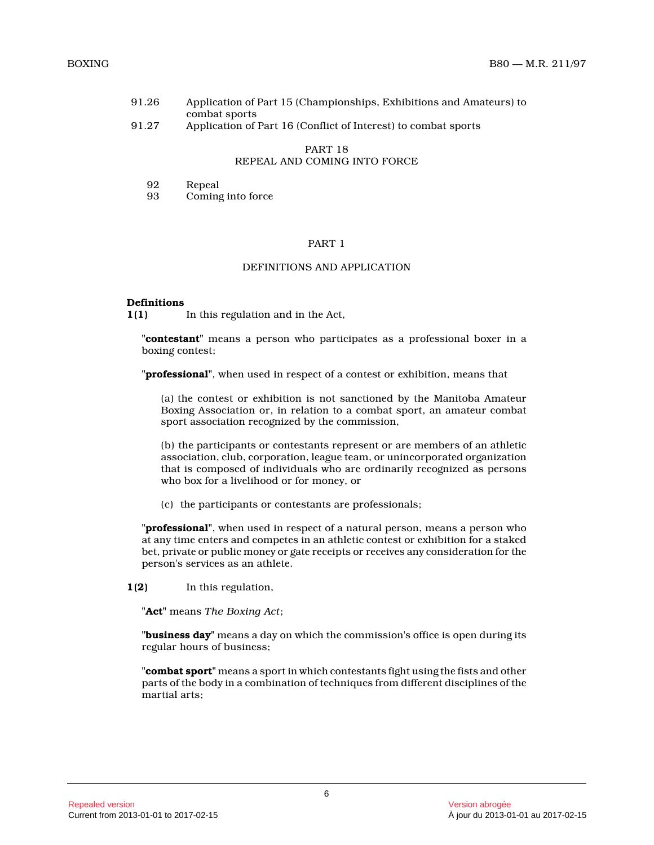| 91.26 | Application of Part 15 (Championships, Exhibitions and Amateurs) to |
|-------|---------------------------------------------------------------------|
|       | combat sports                                                       |

91.27 Application of Part 16 (Conflict of Interest) to combat sports

# PART 18 REPEAL AND COMING INTO FORCE

| 92 | Repeal |
|----|--------|
|----|--------|

93 Coming into force

# PART 1

#### DEFINITIONS AND APPLICATION

#### **Definitions**

**1(1)** In this regulation and in the Act,

**"contestant"** means a person who participates as a professional boxer in a boxing contest;

**"professional"**, when used in respect of a contest or exhibition, means that

(a) the contest or exhibition is not sanctioned by the Manitoba Amateur Boxing Association or, in relation to a combat sport, an amateur combat sport association recognized by the commission,

(b) the participants or contestants represent or are members of an athletic association, club, corporation, league team, or unincorporated organization that is composed of individuals who are ordinarily recognized as persons who box for a livelihood or for money, or

(c) the participants or contestants are professionals;

**"professional"**, when used in respect of a natural person, means a person who at any time enters and competes in an athletic contest or exhibition for a staked bet, private or public money or gate receipts or receives any consideration for the person's services as an athlete.

**1(2)** In this regulation,

**"Act"** means *The Boxing Act* ;

**"business day"** means a day on which the commission's office is open during its regular hours of business;

**"combat sport"** means a sport in which contestants fight using the fists and other parts of the body in a combination of techniques from different disciplines of the martial arts;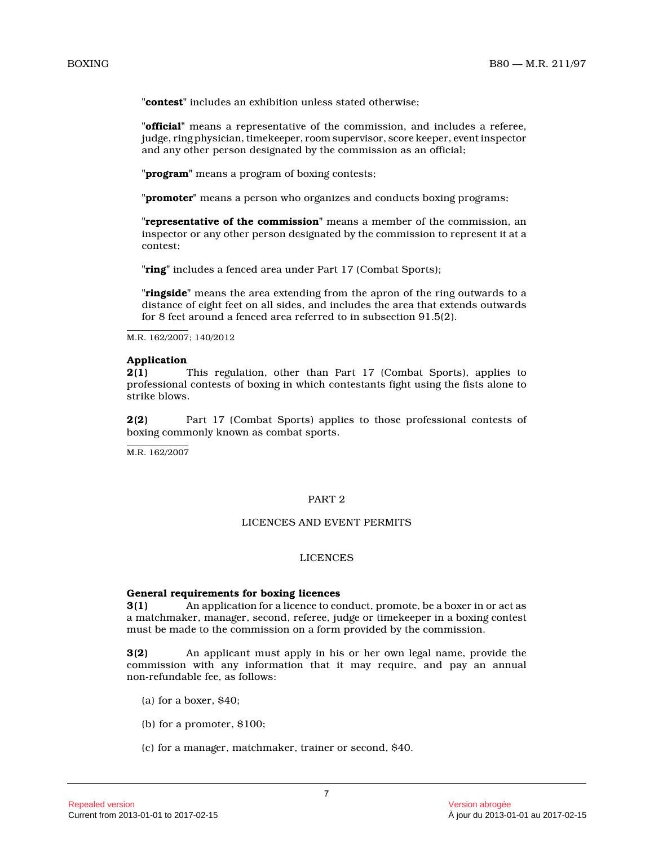**"contest"** includes an exhibition unless stated otherwise;

**"official"** means a representative of the commission, and includes a referee, judge, ring physician, timekeeper, room supervisor, score keeper, event inspector and any other person designated by the commission as an official;

**"program"** means a program of boxing contests;

**"promoter"** means a person who organizes and conducts boxing programs;

**"representative of the commission"** means a member of the commission, an inspector or any other person designated by the commission to represent it at a contest;

**"ring"** includes a fenced area under Part 17 (Combat Sports);

**"ringside"** means the area extending from the apron of the ring outwards to a distance of eight feet on all sides, and includes the area that extends outwards for 8 feet around a fenced area referred to in subsection 91.5(2).

M.R. 162/2007; 140/2012

#### **Application**

**2(1)** This regulation, other than Part 17 (Combat Sports), applies to professional contests of boxing in which contestants fight using the fists alone to strike blows.

**2(2)** Part 17 (Combat Sports) applies to those professional contests of boxing commonly known as combat sports.

M.R. 162/2007

### PART 2

# LICENCES AND EVENT PERMITS

#### LICENCES

#### **General requirements for boxing licences**

**3(1)** An application for a licence to conduct, promote, be a boxer in or act as a matchmaker, manager, second, referee, judge or timekeeper in a boxing contest must be made to the commission on a form provided by the commission.

**3(2)** An applicant must apply in his or her own legal name, provide the commission with any information that it may require, and pay an annual non-refundable fee, as follows:

- (a) for a boxer,  $$40$ ;
- (b) for a promoter, \$100;
- (c) for a manager, matchmaker, trainer or second, \$40.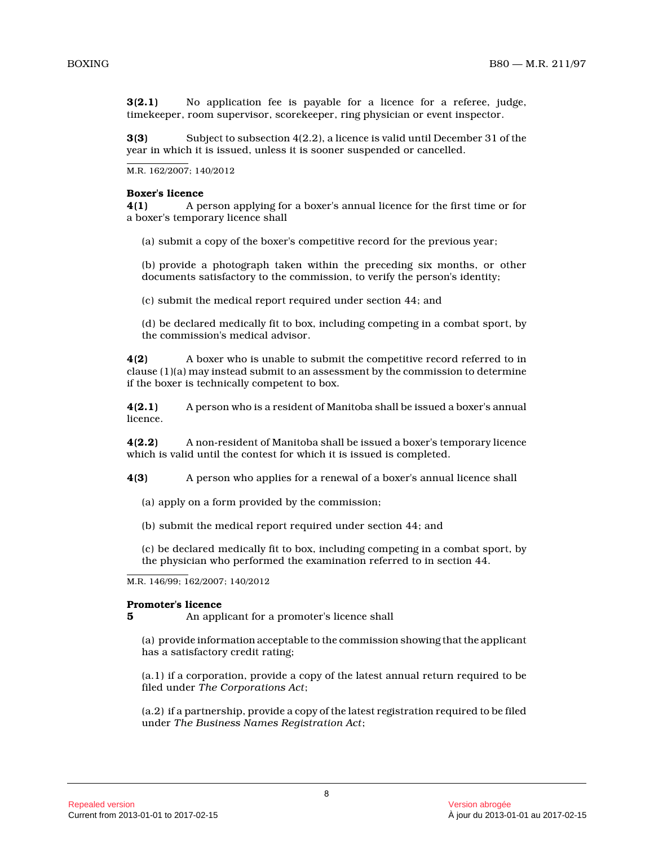**3(2.1)** No application fee is payable for a licence for a referee, judge, timekeeper, room supervisor, scorekeeper, ring physician or event inspector.

**3(3)** Subject to subsection 4(2.2), a licence is valid until December 31 of the year in which it is issued, unless it is sooner suspended or cancelled.

M.R. 162/2007; 140/2012

#### **Boxer's licence**

**4(1)** A person applying for a boxer's annual licence for the first time or for a boxer's temporary licence shall

(a) submit a copy of the boxer's competitive record for the previous year;

(b) provide a photograph taken within the preceding six months, or other documents satisfactory to the commission, to verify the person's identity;

(c) submit the medical report required under section 44; and

(d) be declared medically fit to box, including competing in a combat sport, by the commission's medical advisor.

**4(2)** A boxer who is unable to submit the competitive record referred to in clause (1)(a) may instead submit to an assessment by the commission to determine if the boxer is technically competent to box.

**4(2.1)** A person who is a resident of Manitoba shall be issued a boxer's annual licence.

**4(2.2)** A non-resident of Manitoba shall be issued a boxer's temporary licence which is valid until the contest for which it is issued is completed.

**4(3)** A person who applies for a renewal of a boxer's annual licence shall

- (a) apply on a form provided by the commission;
- (b) submit the medical report required under section 44; and

(c) be declared medically fit to box, including competing in a combat sport, by the physician who performed the examination referred to in section 44.

M.R. 146/99; 162/2007; 140/2012

#### **Promoter's licence**

**5** An applicant for a promoter's licence shall

(a) provide information acceptable to the commission showing that the applicant has a satisfactory credit rating;

(a.1) if a corporation, provide a copy of the latest annual return required to be filed under *The Corporations Act* ;

(a.2) if a partnership, provide a copy of the latest registration required to be filed under *The Business Names Registration Act* ;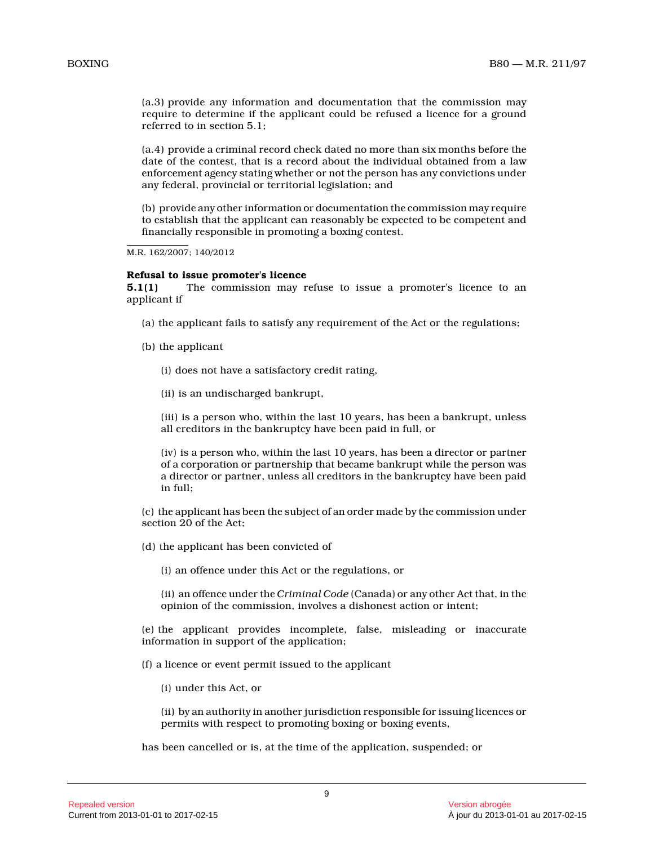(a.3) provide any information and documentation that the commission may require to determine if the applicant could be refused a licence for a ground referred to in section 5.1;

(a.4) provide a criminal record check dated no more than six months before the date of the contest, that is a record about the individual obtained from a law enforcement agency stating whether or not the person has any convictions under any federal, provincial or territorial legislation; and

(b) provide any other information or documentation the commission may require to establish that the applicant can reasonably be expected to be competent and financially responsible in promoting a boxing contest.

M.R. 162/2007; 140/2012

#### **Refusal to issue promoter's licence**

**5.1(1)** The commission may refuse to issue a promoter's licence to an applicant if

- (a) the applicant fails to satisfy any requirement of the Act or the regulations;
- (b) the applicant
	- (i) does not have a satisfactory credit rating,
	- (ii) is an undischarged bankrupt,

(iii) is a person who, within the last 10 years, has been a bankrupt, unless all creditors in the bankruptcy have been paid in full, or

(iv) is a person who, within the last 10 years, has been a director or partner of a corporation or partnership that became bankrupt while the person was a director or partner, unless all creditors in the bankruptcy have been paid in full;

(c) the applicant has been the subject of an order made by the commission under section 20 of the Act;

(d) the applicant has been convicted of

(i) an offence under this Act or the regulations, or

(ii) an offence under the *Criminal Code* (Canada) or any other Act that, in the opinion of the commission, involves a dishonest action or intent;

(e) the applicant provides incomplete, false, misleading or inaccurate information in support of the application;

(f) a licence or event permit issued to the applican t

(i) under this Act, or

(ii) by an authority in another jurisdiction responsible for issuing licences or permits with respect to promoting boxing or boxing events,

has been cancelled or is, at the time of the application, suspended; or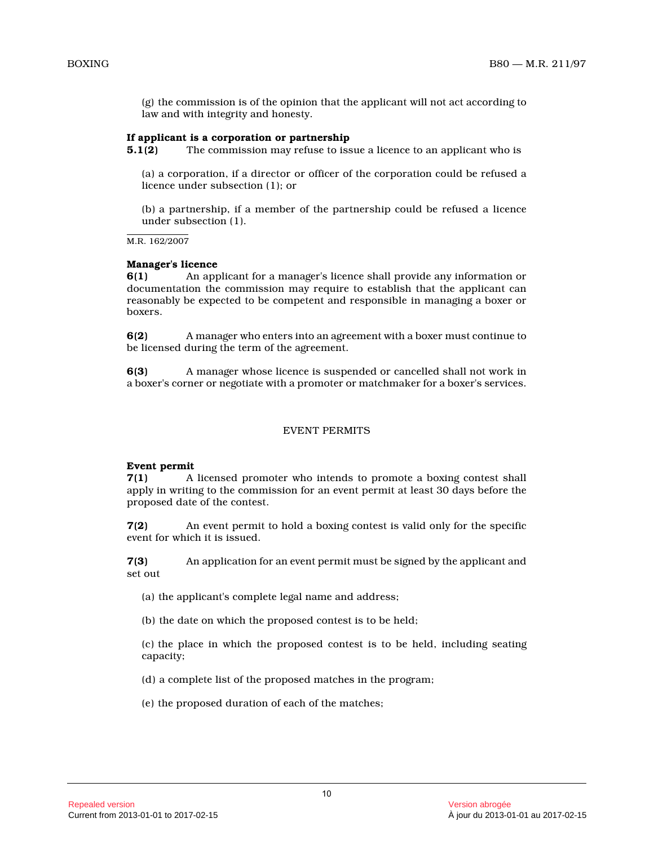(g) the commission is of the opinion that the applicant will not act according to law and with integrity and honesty.

# **If applicant is a corporation or partnership**

**5.1(2)** The commission may refuse to issue a licence to an applicant who is

(a) a corporation, if a director or officer of the corporation could be refused a licence under subsection (1); or

(b) a partnership, if a member of the partnership could be refused a licence under subsection (1).

M.R. 162/2007

#### **Manager's licence**

**6(1)** An applicant for a manager's licence shall provide any information or documentation the commission may require to establish that the applicant can reasonably be expected to be competent and responsible in managing a boxer or boxers.

**6(2)** A manager who enters into an agreement with a boxer must continue to be licensed during the term of the agreement.

**6(3)** A manager whose licence is suspended or cancelled shall not work in a boxer's corner or negotiate with a promoter or matchmaker for a boxer's services.

# EVENT PERMITS

# **Event permit**

**7(1)** A licensed promoter who intends to promote a boxing contest shall apply in writing to the commission for an event permit at least 30 days before the proposed date of the contest.

**7(2)** An event permit to hold a boxing contest is valid only for the specific event for which it is issued.

**7(3)** An application for an event permit must be signed by the applicant and set out

(a) the applicant's complete legal name and address;

(b) the date on which the proposed contest is to be held;

(c) the place in which the proposed contest is to be held, including seating capacity;

(d) a complete list of the proposed matches in the program;

(e) the proposed duration of each of the matches;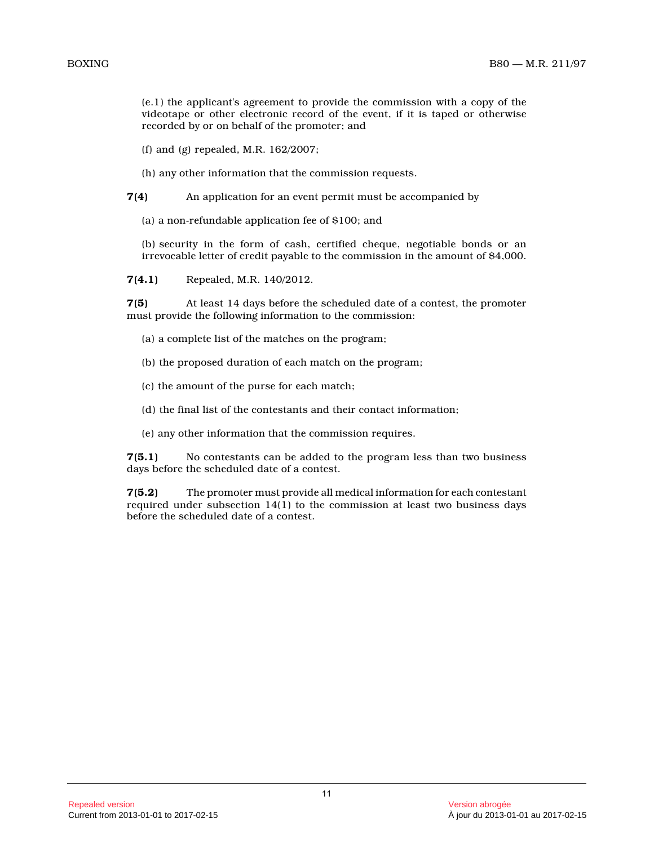(e.1) the applicant's agreement to provide the commission with a copy of the videotape or other electronic record of the event, if it is taped or otherwise recorded by or on behalf of the promoter; and

(f) and (g) repealed, M.R. 162/2007;

(h) any other information that the commission requests.

**7(4)** An application for an event permit must be accompanied by

(a) a non-refundable application fee of \$100; and

(b) security in the form of cash, certified cheque, negotiable bonds or an irrevocable letter of credit payable to the commission in the amount of \$4,000.

**7(4.1)** Repealed, M.R. 140/2012.

**7(5)** At least 14 days before the scheduled date of a contest, the promoter must provide the following information to the commission:

- (a) a complete list of the matches on the program;
- (b) the proposed duration of each match on the program;
- (c) the amount of the purse for each match;
- (d) the final list of the contestants and their contact information;
- (e) any other information that the commission requires.

**7(5.1)** No contestants can be added to the program less than two business days before the scheduled date of a contest.

**7(5.2)** The promoter must provide all medical information for each contestant required under subsection 14(1) to the commission at least two business days before the scheduled date of a contest.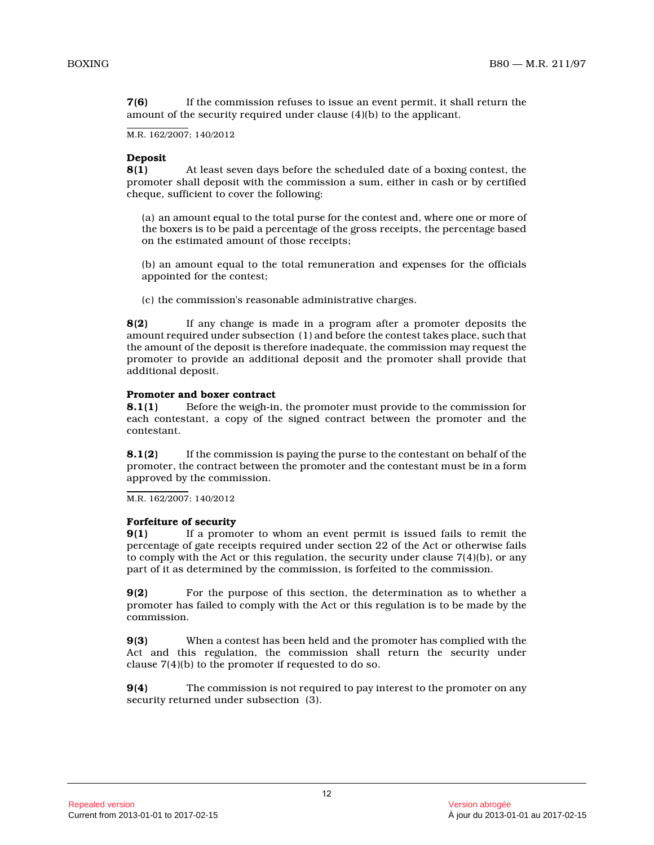**7(6)** If the commission refuses to issue an event permit, it shall return the amount of the security required under clause (4)(b) to the applicant.

M.R. 162/2007; 140/2012

# **Deposit**

**8(1)** At least seven days before the scheduled date of a boxing contest, the promoter shall deposit with the commission a sum, either in cash or by certified cheque, sufficient to cover the following:

(a) an amount equal to the total purse for the contest and, where one or more of the boxers is to be paid a percentage of the gross receipts, the percentage based on the estimated amount of those receipts;

(b) an amount equal to the total remuneration and expenses for the officials appointed for the contest;

(c) the commission's reasonable administrative charges.

**8(2)** If any change is made in a program after a promoter deposits the amount required under subsection (1) and before the contest takes place, such that the amount of the deposit is therefore inadequate, the commission may request the promoter to provide an additional deposit and the promoter shall provide that additional deposit.

# **Promoter and boxer contract**

**8.1(1)** Before the weigh-in, the promoter must provide to the commission for each contestant, a copy of the signed contract between the promoter and the contestant.

**8.1(2)** If the commission is paying the purse to the contestant on behalf of the promoter, the contract between the promoter and the contestant must be in a form approved by the commission.

M.R. 162/2007; 140/2012

#### **Forfeiture of security**

**9(1)** If a promoter to whom an event permit is issued fails to remit the percentage of gate receipts required under section 22 of the Act or otherwise fails to comply with the Act or this regulation, the security under clause 7(4)(b), or any part of it as determined by the commission, is forfeited to the commission.

**9(2)** For the purpose of this section, the determination as to whether a promoter has failed to comply with the Act or this regulation is to be made by the commission.

**9(3)** When a contest has been held and the promoter has complied with the Act and this regulation, the commission shall return the security under clause 7(4)(b) to the promoter if requested to do so.

**9(4)** The commission is not required to pay interest to the promoter on any security returned under subsection (3).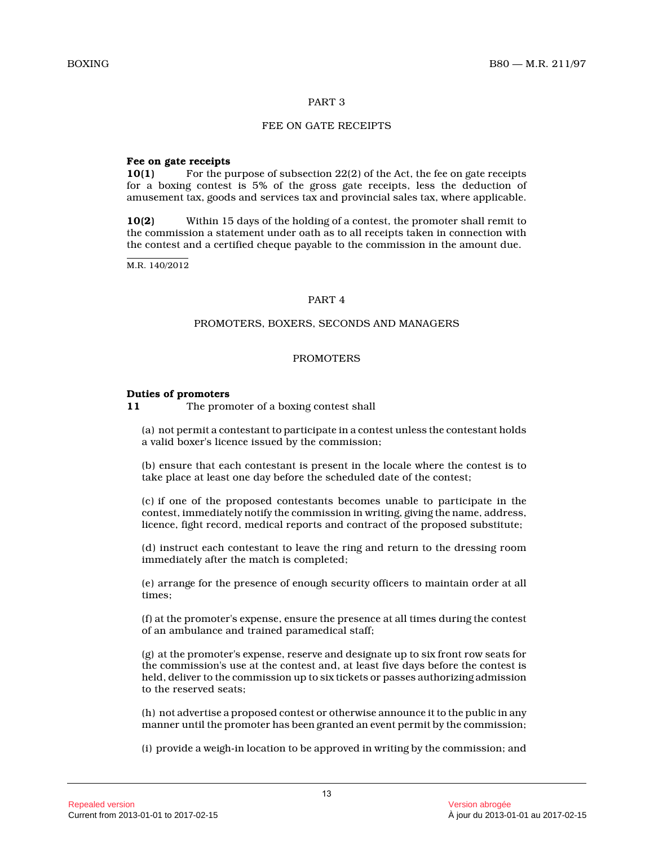# PART 3

# FEE ON GATE RECEIPTS

### **Fee on gate receipts**

**10(1)** For the purpose of subsection 22(2) of the Act, the fee on gate receipts for a boxing contest is 5% of the gross gate receipts, less the deduction of amusement tax, goods and services tax and provincial sales tax, where applicable.

**10(2)** Within 15 days of the holding of a contest, the promoter shall remit to the commission a statement under oath as to all receipts taken in connection with the contest and a certified cheque payable to the commission in the amount due.

M.R. 140/2012

# PART 4

# PROMOTERS, BOXERS, SECONDS AND MANAGERS

# PROMOTERS

#### **Duties of promoters**

**11** The promoter of a boxing contest shall

(a) not permit a contestant to participate in a contest unless the contestant holds a valid boxer's licence issued by the commission;

(b) ensure that each contestant is present in the locale where the contest is to take place at least one day before the scheduled date of the contest;

(c) if one of the proposed contestants becomes unable to participate in the contest, immediately notify the commission in writing, giving the name, address, licence, fight record, medical reports and contract of the proposed substitute;

(d) instruct each contestant to leave the ring and return to the dressing room immediately after the match is completed;

(e) arrange for the presence of enough security officers to maintain order at all times;

(f) at the promoter's expense, ensure the presence at all times during the contest of an ambulance and trained paramedical staff;

(g) at the promoter's expense, reserve and designate up to six front row seats for the commission's use at the contest and, at least five days before the contest is held, deliver to the commission up to six tickets or passes authorizing admission to the reserved seats;

(h) not advertise a proposed contest or otherwise announce it to the public in any manner until the promoter has been granted an event permit by the commission;

(i) provide a weigh-in location to be approved in writing by the commission; and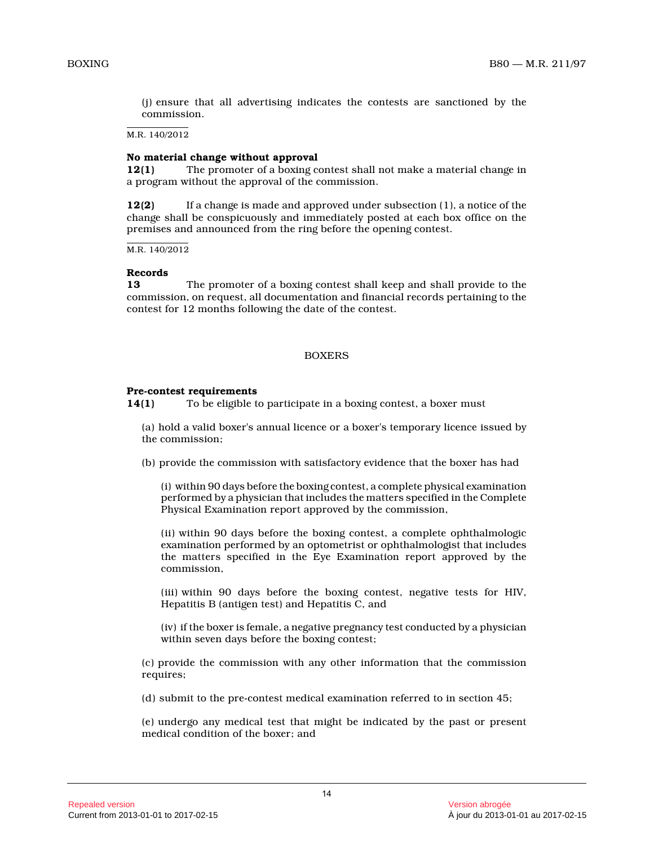(j) ensure that all advertising indicates the contests are sanctioned by the commission.

M.R. 140/2012

#### **No material change without approval**

**12(1)** The promoter of a boxing contest shall not make a material change in a program without the approval of the commission.

**12(2)** If a change is made and approved under subsection (1), a notice of the change shall be conspicuously and immediately posted at each box office on the premises and announced from the ring before the opening contest.

M.R. 140/2012

#### **Records**

**13** The promoter of a boxing contest shall keep and shall provide to the commission, on request, all documentation and financial records pertaining to the contest for 12 months following the date of the contest.

#### BOXERS

#### **Pre-contest requirements**

**14(1)** To be eligible to participate in a boxing contest, a boxer must

(a) hold a valid boxer's annual licence or a boxer's temporary licence issued by the commission;

(b) provide the commission with satisfactory evidence that the boxer has had

(i) within 90 days before the boxing contest, a complete physical examination performed by a physician that includes the matters specified in the Complete Physical Examination report approved by the commission,

(ii) within 90 days before the boxing contest, a complete ophthalmologic examination performed by an optometrist or ophthalmologist that includes the matters specified in the Eye Examination report approved by the commission,

(iii) within 90 days before the boxing contest, negative tests for HIV, Hepatitis B (antigen test) and Hepatitis C, and

(iv) if the boxer is female, a negative pregnancy test conducted by a physician within seven days before the boxing contest;

(c) provide the commission with any other information that the commission requires;

(d) submit to the pre-contest medical examination referred to in section 45;

(e) undergo any medical test that might be indicated by the past or present medical condition of the boxer; and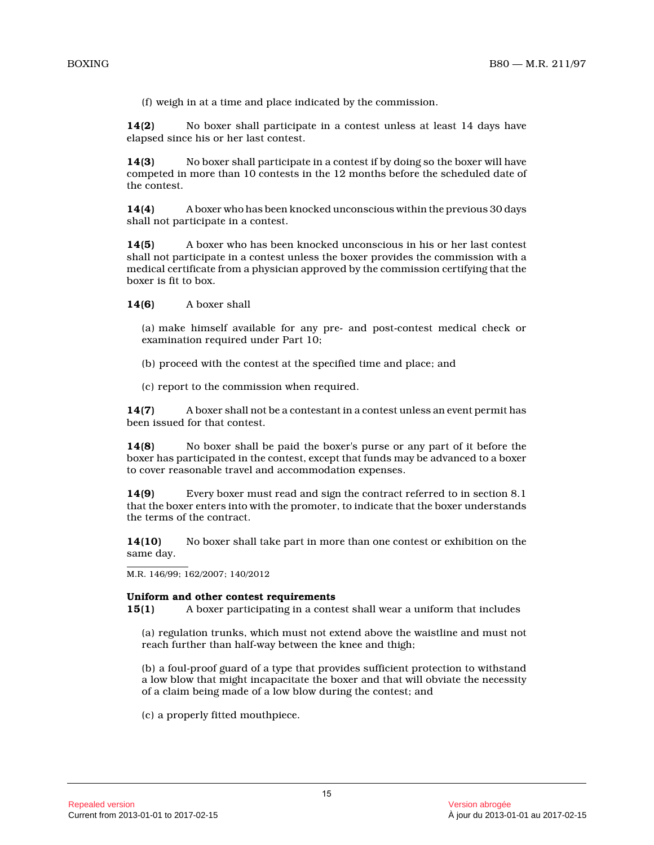(f) weigh in at a time and place indicated by the commission.

**14(2)** No boxer shall participate in a contest unless at least 14 days have elapsed since his or her last contest.

**14(3)** No boxer shall participate in a contest if by doing so the boxer will have competed in more than 10 contests in the 12 months before the scheduled date of the contest.

**14(4)** A boxer who has been knocked unconscious within the previous 30 days shall not participate in a contest.

**14(5)** A boxer who has been knocked unconscious in his or her last contest shall not participate in a contest unless the boxer provides the commission with a medical certificate from a physician approved by the commission certifying that the boxer is fit to box.

**14(6)** A boxer shall

(a) make himself available for any pre- and post-contest medical check or examination required under Part 10;

- (b) proceed with the contest at the specified time and place; and
- (c) report to the commission when required.

**14(7)** A boxer shall not be a contestant in a contest unless an event permit has been issued for that contest.

**14(8)** No boxer shall be paid the boxer's purse or any part of it before the boxer has participated in the contest, except that funds may be advanced to a boxer to cover reasonable travel and accommodation expenses.

**14(9)** Every boxer must read and sign the contract referred to in section 8.1 that the boxer enters into with the promoter, to indicate that the boxer understands the terms of the contract.

**14(10)** No boxer shall take part in more than one contest or exhibition on the same day.

M.R. 146/99; 162/2007; 140/2012

#### **Uniform and other contest requirements**

**15(1)** A boxer participating in a contest shall wear a uniform that includes

(a) regulation trunks, which must not extend above the waistline and must not reach further than half-way between the knee and thigh;

(b) a foul-proof guard of a type that provides sufficient protection to withstand a low blow that might incapacitate the boxer and that will obviate the necessity of a claim being made of a low blow during the contest; and

(c) a properly fitted mouthpiece.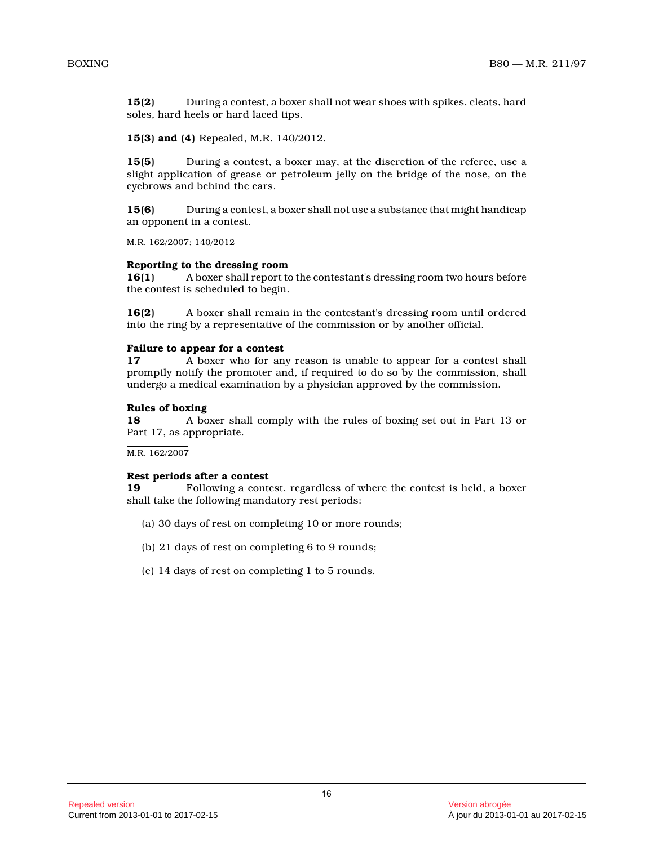**15(2)** During a contest, a boxer shall not wear shoes with spikes, cleats, hard soles, hard heels or hard laced tips.

**15(3) and (4)** Repealed, M.R. 140/2012.

**15(5)** During a contest, a boxer may, at the discretion of the referee, use a slight application of grease or petroleum jelly on the bridge of the nose, on the eyebrows and behind the ears.

**15(6)** During a contest, a boxer shall not use a substance that might handicap an opponent in a contest.

M.R. 162/2007; 140/2012

#### **Reporting to the dressing room**

**16(1)** A boxer shall report to the contestant's dressing room two hours before the contest is scheduled to begin.

**16(2)** A boxer shall remain in the contestant's dressing room until ordered into the ring by a representative of the commission or by another official.

#### **Failure to appear for a contest**

**17** A boxer who for any reason is unable to appear for a contest shall promptly notify the promoter and, if required to do so by the commission, shall undergo a medical examination by a physician approved by the commission.

#### **Rules of boxing**

**18** A boxer shall comply with the rules of boxing set out in Part 13 or Part 17, as appropriate.

M.R. 162/2007

#### **Rest periods after a contest**

**19** Following a contest, regardless of where the contest is held, a boxer shall take the following mandatory rest periods:

- (a) 30 days of rest on completing 10 or more rounds;
- (b) 21 days of rest on completing 6 to 9 rounds;
- (c) 14 days of rest on completing 1 to 5 rounds.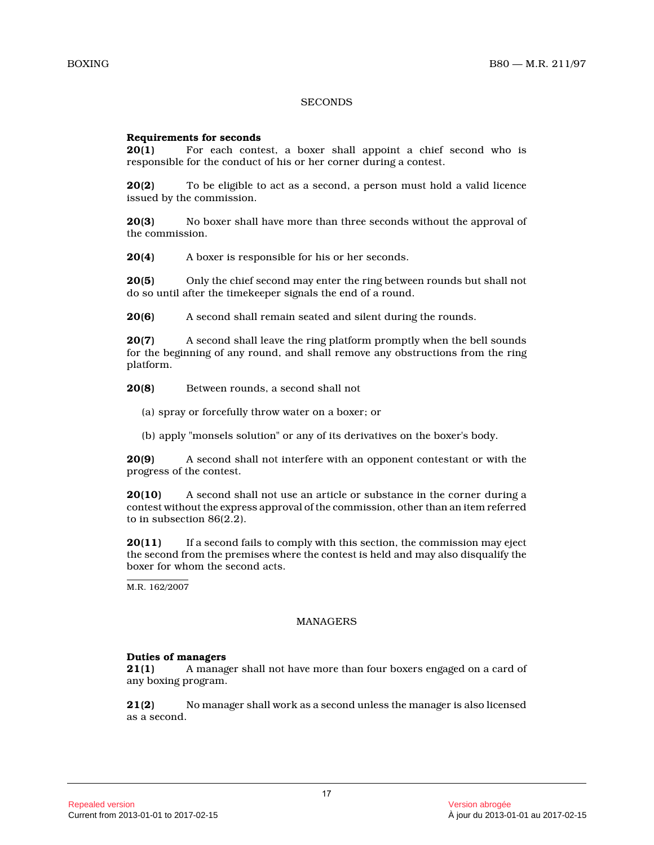# **SECONDS**

# **Requirements for seconds**

**20(1)** For each contest, a boxer shall appoint a chief second who is responsible for the conduct of his or her corner during a contest.

**20(2)** To be eligible to act as a second, a person must hold a valid licence issued by the commission.

**20(3)** No boxer shall have more than three seconds without the approval of the commission.

**20(4)** A boxer is responsible for his or her seconds.

**20(5)** Only the chief second may enter the ring between rounds but shall not do so until after the timekeeper signals the end of a round.

**20(6)** A second shall remain seated and silent during the rounds.

**20(7)** A second shall leave the ring platform promptly when the bell sounds for the beginning of any round, and shall remove any obstructions from the ring platform.

**20(8)** Between rounds, a second shall not

- (a) spray or forcefully throw water on a boxer; or
- (b) apply "monsels solution" or any of its derivatives on the boxer's body.

**20(9)** A second shall not interfere with an opponent contestant or with the progress of the contest.

**20(10)** A second shall not use an article or substance in the corner during a contest without the express approval of the commission, other than an item referred to in subsection 86(2.2).

**20(11)** If a second fails to comply with this section, the commission may eject the second from the premises where the contest is held and may also disqualify the boxer for whom the second acts.

M.R. 162/2007

# MANAGERS

#### **Duties of managers**

**21(1)** A manager shall not have more than four boxers engaged on a card of any boxing program.

**21(2)** No manager shall work as a second unless the manager is also licensed as a second.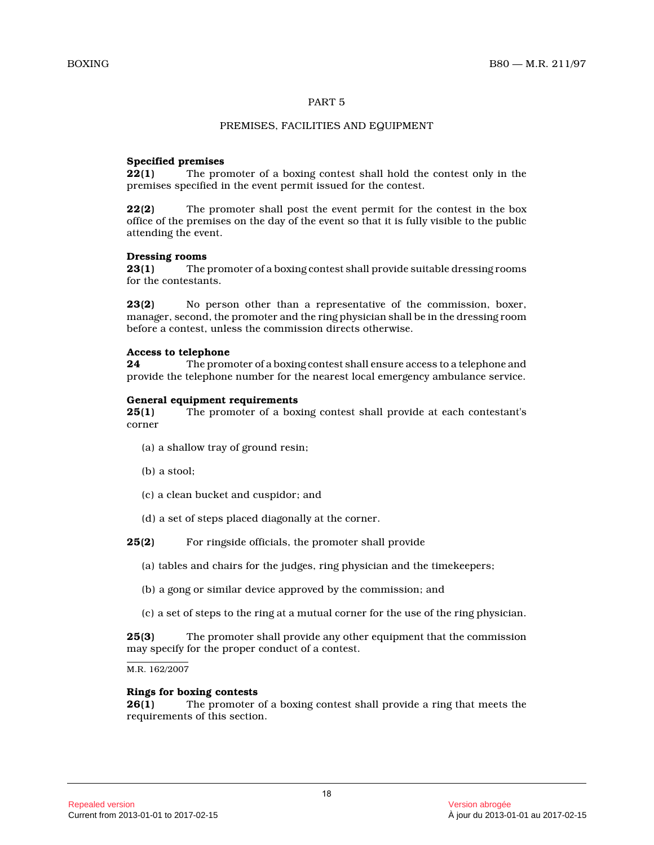# PART 5

# PREMISES, FACILITIES AND EQUIPMENT

# **Specified premises**

**22(1)** The promoter of a boxing contest shall hold the contest only in the premises specified in the event permit issued for the contest.

**22(2)** The promoter shall post the event permit for the contest in the box office of the premises on the day of the event so that it is fully visible to the public attending the event.

#### **Dressing rooms**

**23(1)** The promoter of a boxing contest shall provide suitable dressing rooms for the contestants.

**23(2)** No person other than a representative of the commission, boxer, manager, second, the promoter and the ring physician shall be in the dressing room before a contest, unless the commission directs otherwise.

# **Access to telephone**

**24** The promoter of a boxing contest shall ensure access to a telephone and provide the telephone number for the nearest local emergency ambulance service.

#### **General equipment requirements**

**25(1)** The promoter of a boxing contest shall provide at each contestant's corner

- (a) a shallow tray of ground resin;
- (b) a stool;
- (c) a clean bucket and cuspidor; and
- (d) a set of steps placed diagonally at the corner.
- **25(2)** For ringside officials, the promoter shall provide
	- (a) tables and chairs for the judges, ring physician and the timekeepers;
	- (b) a gong or similar device approved by the commission; and
	- (c) a set of steps to the ring at a mutual corner for the use of the ring physician.

**25(3)** The promoter shall provide any other equipment that the commission may specify for the proper conduct of a contest.

M.R. 162/2007

#### **Rings for boxing contests**

**26(1)** The promoter of a boxing contest shall provide a ring that meets the requirements of this section.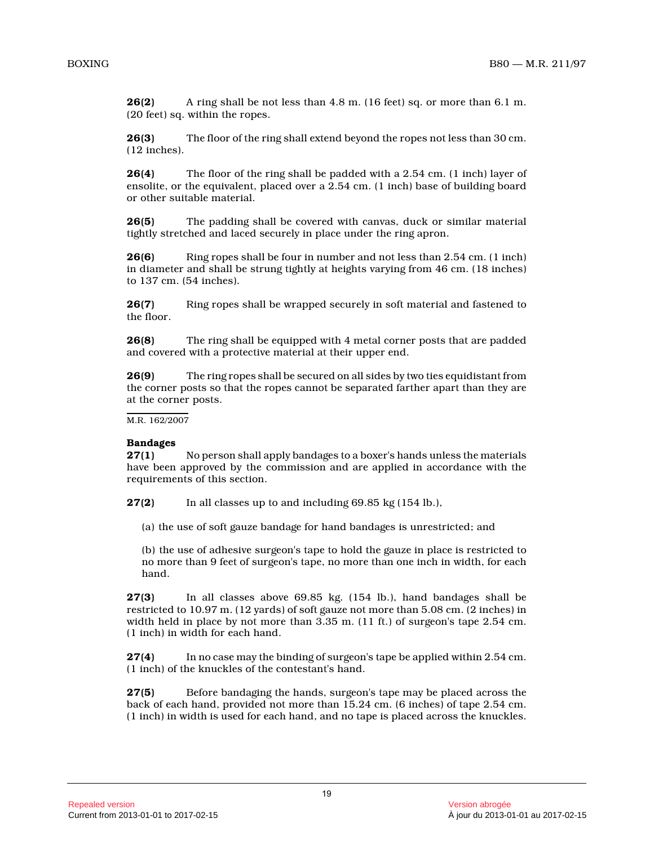**26(2)** A ring shall be not less than 4.8 m. (16 feet) sq. or more than 6.1 m. (20 feet) sq. within the ropes.

**26(3)** The floor of the ring shall extend beyond the ropes not less than 30 cm. (12 inches).

**26(4)** The floor of the ring shall be padded with a 2.54 cm. (1 inch) layer of ensolite, or the equivalent, placed over a 2.54 cm. (1 inch) base of building board or other suitable material.

**26(5)** The padding shall be covered with canvas, duck or similar material tightly stretched and laced securely in place under the ring apron.

**26(6)** Ring ropes shall be four in number and not less than 2.54 cm. (1 inch) in diameter and shall be strung tightly at heights varying from 46 cm. (18 inches) to 137 cm. (54 inches).

**26(7)** Ring ropes shall be wrapped securely in soft material and fastened to the floor.

**26(8)** The ring shall be equipped with 4 metal corner posts that are padded and covered with a protective material at their upper end.

**26(9)** The ring ropes shall be secured on all sides by two ties equidistant from the corner posts so that the ropes cannot be separated farther apart than they are at the corner posts.

M.R. 162/2007

# **Bandages**

**27(1)** No person shall apply bandages to a boxer's hands unless the materials have been approved by the commission and are applied in accordance with the requirements of this section.

**27(2)** In all classes up to and including 69.85 kg (154 lb.),

(a) the use of soft gauze bandage for hand bandages is unrestricted; and

(b) the use of adhesive surgeon's tape to hold the gauze in place is restricted to no more than 9 feet of surgeon's tape, no more than one inch in width, for each hand.

**27(3)** In all classes above 69.85 kg. (154 lb.), hand bandages shall be restricted to 10.97 m. (12 yards) of soft gauze not more than 5.08 cm. (2 inches) in width held in place by not more than 3.35 m. (11 ft.) of surgeon's tape 2.54 cm. (1 inch) in width for each hand.

**27(4)** In no case may the binding of surgeon's tape be applied within 2.54 cm. (1 inch) of the knuckles of the contestant's hand.

**27(5)** Before bandaging the hands, surgeon's tape may be placed across the back of each hand, provided not more than 15.24 cm. (6 inches) of tape 2.54 cm. (1 inch) in width is used for each hand, and no tape is placed across the knuckles.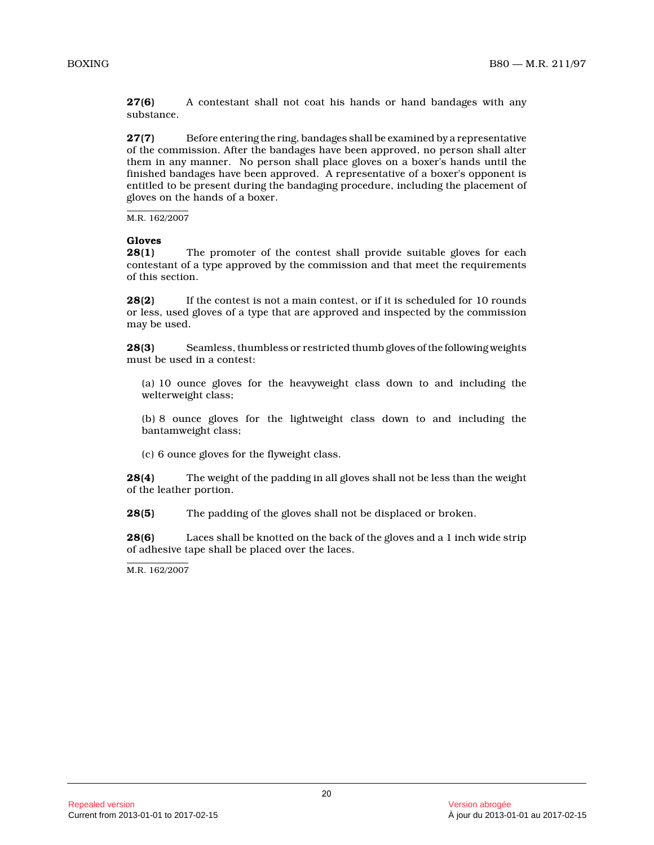**27(6)** A contestant shall not coat his hands or hand bandages with any substance.

**27(7)** Before entering the ring, bandages shall be examined by a representative of the commission. After the bandages have been approved, no person shall alter them in any manner. No person shall place gloves on a boxer's hands until the finished bandages have been approved. A representative of a boxer's opponent is entitled to be present during the bandaging procedure, including the placement of gloves on the hands of a boxer.

M.R. 162/2007

# **Gloves**

The promoter of the contest shall provide suitable gloves for each contestant of a type approved by the commission and that meet the requirements of this section.

**28(2)** If the contest is not a main contest, or if it is scheduled for 10 rounds or less, used gloves of a type that are approved and inspected by the commission may be used.

**28(3)** Seamless, thumbless or restricted thumb gloves of the following weights must be used in a contest:

(a) 10 ounce gloves for the heavyweight class down to and including the welterweight class;

(b) 8 ounce gloves for the lightweight class down to and including the bantamweight class;

(c) 6 ounce gloves for the flyweight class.

**28(4)** The weight of the padding in all gloves shall not be less than the weight of the leather portion.

**28(5)** The padding of the gloves shall not be displaced or broken.

**28(6)** Laces shall be knotted on the back of the gloves and a 1 inch wide strip of adhesive tape shall be placed over the laces.

M.R. 162/2007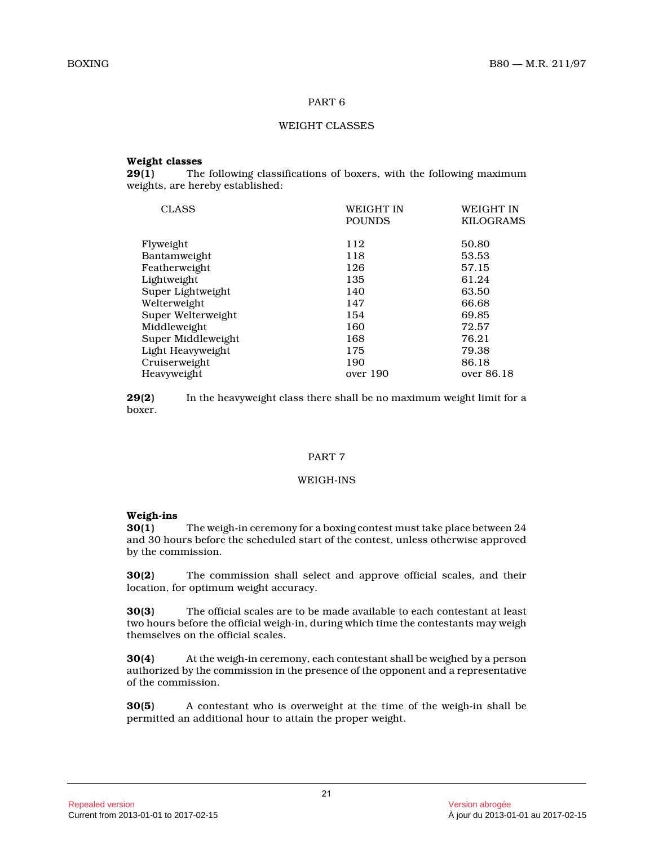# PART 6

# WEIGHT CLASSES

# **Weight classes**

**29(1)** The following classifications of boxers, with the following maximum weights, are hereby established:

| <b>CLASS</b>       | WEIGHT IN     | <b>WEIGHT IN</b> |
|--------------------|---------------|------------------|
|                    | <b>POUNDS</b> | <b>KILOGRAMS</b> |
|                    |               |                  |
| Flyweight          | 112           | 50.80            |
| Bantamweight       | 118           | 53.53            |
| Featherweight      | 126           | 57.15            |
| Lightweight        | 135           | 61.24            |
| Super Lightweight  | 140           | 63.50            |
| Welterweight       | 147           | 66.68            |
| Super Welterweight | 154           | 69.85            |
| Middleweight       | 160           | 72.57            |
| Super Middleweight | 168           | 76.21            |
| Light Heavyweight  | 175           | 79.38            |
| Cruiserweight      | 190           | 86.18            |
| Heavyweight        | over 190      | over 86.18       |
|                    |               |                  |

**29(2)** In the heavyweight class there shall be no maximum weight limit for a boxer.

#### PART 7

# WEIGH-INS

# **Weigh-ins**

**30(1)** The weigh-in ceremony for a boxing contest must take place between 24 and 30 hours before the scheduled start of the contest, unless otherwise approved by the commission.

**30(2)** The commission shall select and approve official scales, and their location, for optimum weight accuracy.

**30(3)** The official scales are to be made available to each contestant at least two hours before the official weigh-in, during which time the contestants may weigh themselves on the official scales.

**30(4)** At the weigh-in ceremony, each contestant shall be weighed by a person authorized by the commission in the presence of the opponent and a representative of the commission.

**30(5)** A contestant who is overweight at the time of the weigh-in shall be permitted an additional hour to attain the proper weight.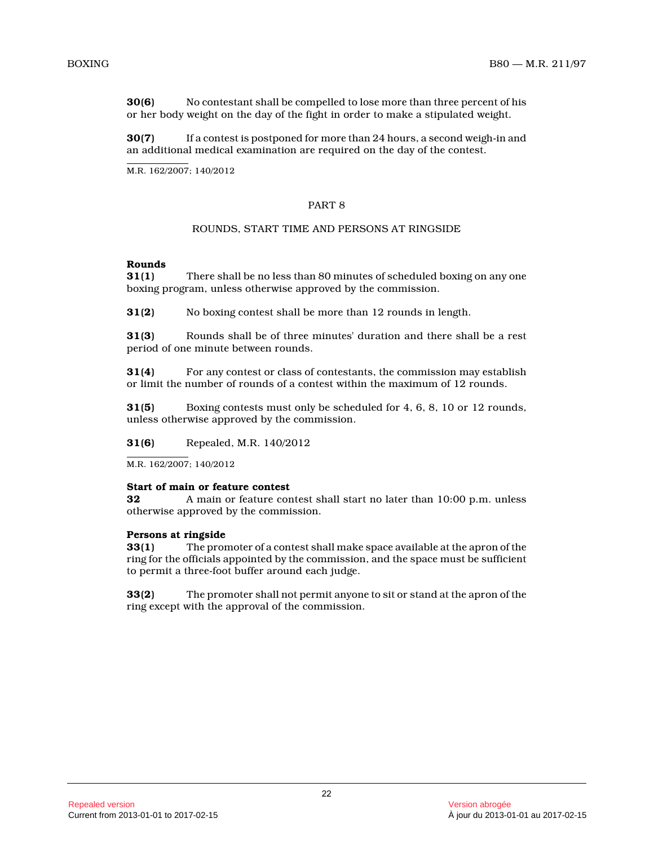**30(6)** No contestant shall be compelled to lose more than three percent of his or her body weight on the day of the fight in order to make a stipulated weight.

**30(7)** If a contest is postponed for more than 24 hours, a second weigh-in and an additional medical examination are required on the day of the contest.

M.R. 162/2007; 140/2012

# PART 8

# ROUNDS, START TIME AND PERSONS AT RINGSIDE

# **Rounds**

**31(1)** There shall be no less than 80 minutes of scheduled boxing on any one boxing program, unless otherwise approved by the commission.

**31(2)** No boxing contest shall be more than 12 rounds in length.

**31(3)** Rounds shall be of three minutes' duration and there shall be a rest period of one minute between rounds.

**31(4)** For any contest or class of contestants, the commission may establish or limit the number of rounds of a contest within the maximum of 12 rounds.

**31(5)** Boxing contests must only be scheduled for 4, 6, 8, 10 or 12 rounds, unless otherwise approved by the commission.

**31(6)** Repealed, M.R. 140/2012

M.R. 162/2007; 140/2012

#### **Start of main or feature contest**

**32** A main or feature contest shall start no later than 10:00 p.m. unless otherwise approved by the commission.

#### **Persons at ringside**

**33(1)** The promoter of a contest shall make space available at the apron of the ring for the officials appointed by the commission, and the space must be sufficient to permit a three-foot buffer around each judge.

**33(2)** The promoter shall not permit anyone to sit or stand at the apron of the ring except with the approval of the commission.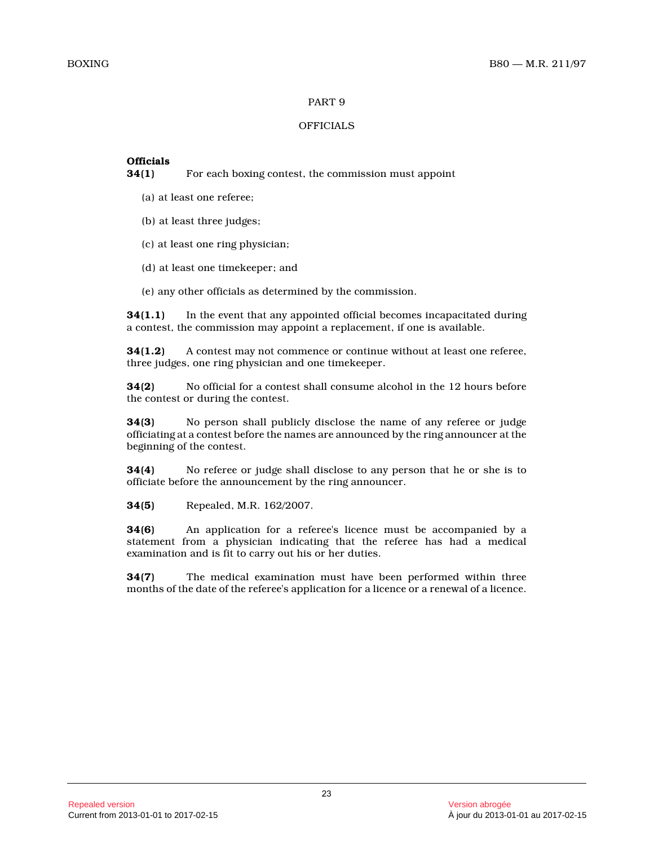# PART 9

# **OFFICIALS**

# **Officials**

**34(1)** For each boxing contest, the commission must appoint

- (a) at least one referee;
- (b) at least three judges;
- (c) at least one ring physician;
- (d) at least one timekeeper; and
- (e) any other officials as determined by the commission.

**34(1.1)** In the event that any appointed official becomes incapacitated during a contest, the commission may appoint a replacement, if one is available.

**34(1.2)** A contest may not commence or continue without at least one referee, three judges, one ring physician and one timekeeper .

**34(2)** No official for a contest shall consume alcohol in the 12 hours before the contest or during the contest.

**34(3)** No person shall publicly disclose the name of any referee or judge officiating at a contest before the names are announced by the ring announcer at the beginning of the contest.

**34(4)** No referee or judge shall disclose to any person that he or she is to officiate before the announcement by the ring announcer.

**34(5)** Repealed, M.R. 162/2007.

**34(6)** An application for a referee's licence must be accompanied by a statement from a physician indicating that the referee has had a medical examination and is fit to carry out his or her duties.

**34(7)** The medical examination must have been performed within three months of the date of the referee's application for a licence or a renewal of a licence.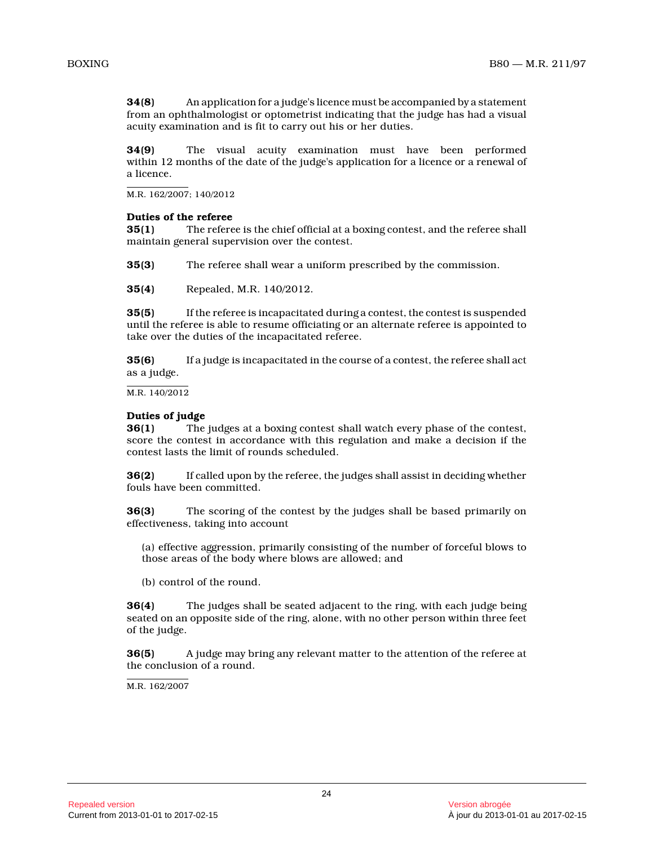**34(8)** An application for a judge's licence must be accompanied by a statement from an ophthalmologist or optometrist indicating that the judge has had a visual acuity examination and is fit to carry out his or her duties.

**34(9)** The visual acuity examination must have been performed within 12 months of the date of the judge's application for a licence or a renewal of a licence.

M.R. 162/2007; 140/2012

# **Duties of the referee**

**35(1)** The referee is the chief official at a boxing contest, and the referee shall maintain general supervision over the contest.

**35(3)** The referee shall wear a uniform prescribed by the commission.

**35(4)** Repealed, M.R. 140/2012.

**35(5)** If the referee is incapacitated during a contest, the contest is suspended until the referee is able to resume officiating or an alternate referee is appointed to take over the duties of the incapacitated referee.

**35(6)** If a judge is incapacitated in the course of a contest, the referee shall act as a judge.

M.R. 140/2012

# **Duties of judge**

**36(1)** The judges at a boxing contest shall watch every phase of the contest, score the contest in accordance with this regulation and make a decision if the contest lasts the limit of rounds scheduled.

**36(2)** If called upon by the referee, the judges shall assist in deciding whether fouls have been committed.

**36(3)** The scoring of the contest by the judges shall be based primarily on effectiveness, taking into account

(a) effective aggression, primarily consisting of the number of forceful blows to those areas of the body where blows are allowed; an d

(b) control of the round.

**36(4)** The judges shall be seated adjacent to the ring, with each judge being seated on an opposite side of the ring, alone, with no other person within three feet of the judge.

**36(5)** A judge may bring any relevant matter to the attention of the referee at the conclusion of a round.

M.R. 162/2007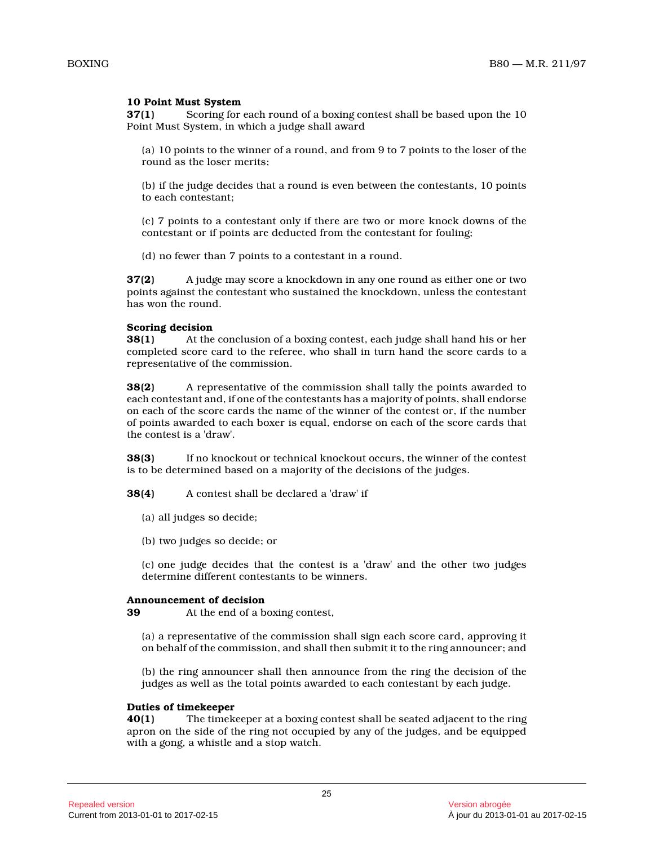# **10 Point Must System**

**37(1)** Scoring for each round of a boxing contest shall be based upon the 10 Point Must System, in which a judge shall award

(a) 10 points to the winner of a round, and from 9 to 7 points to the loser of the round as the loser merits;

(b) if the judge decides that a round is even between the contestants, 10 points to each contestant;

(c) 7 points to a contestant only if there are two or more knock downs of the contestant or if points are deducted from the contestant for fouling;

(d) no fewer than 7 points to a contestant in a round.

**37(2)** A judge may score a knockdown in any one round as either one or two points against the contestant who sustained the knockdown, unless the contestant has won the round.

### **Scoring decision**

**38(1)** At the conclusion of a boxing contest, each judge shall hand his or her completed score card to the referee, who shall in turn hand the score cards to a representative of the commission.

**38(2)** A representative of the commission shall tally the points awarded to each contestant and, if one of the contestants has a majority of points, shall endorse on each of the score cards the name of the winner of the contest or, if the number of points awarded to each boxer is equal, endorse on each of the score cards that the contest is a 'draw'.

**38(3)** If no knockout or technical knockout occurs, the winner of the contest is to be determined based on a majority of the decisions of the judges.

**38(4)** A contest shall be declared a 'draw' if

- (a) all judges so decide;
- (b) two judges so decide; or

(c) one judge decides that the contest is a 'draw' and the other two judges determine different contestants to be winners.

#### **Announcement of decision**

**39** At the end of a boxing contest,

(a) a representative of the commission shall sign each score card, approving it on behalf of the commission, and shall then submit it to the ring announcer; and

(b) the ring announcer shall then announce from the ring the decision of the judges as well as the total points awarded to each contestant by each judge.

#### **Duties of timekeeper**

**40(1)** The timekeeper at a boxing contest shall be seated adjacent to the ring apron on the side of the ring not occupied by any of the judges, and be equipped with a gong, a whistle and a stop watch.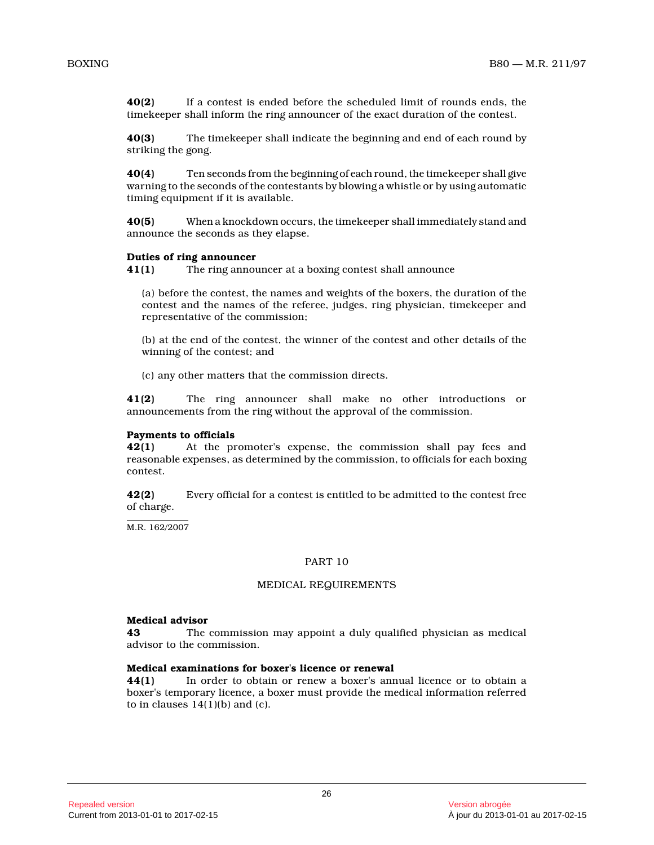**40(2)** If a contest is ended before the scheduled limit of rounds ends, the timekeeper shall inform the ring announcer of the exact duration of the contest.

**40(3)** The timekeeper shall indicate the beginning and end of each round by striking the gong.

**40(4)** Ten seconds from the beginning of each round, the timekeeper shall give warning to the seconds of the contestants by blowing a whistle or by using automatic timing equipment if it is available.

**40(5)** When a knockdown occurs, the timekeeper shall immediately stand and announce the seconds as they elapse.

#### **Duties of ring announcer**

**41(1)** The ring announcer at a boxing contest shall announce

(a) before the contest, the names and weights of the boxers, the duration of the contest and the names of the referee, judges, ring physician, timekeeper and representative of the commission;

(b) at the end of the contest, the winner of the contest and other details of the winning of the contest; and

(c) any other matters that the commission directs.

**41(2)** The ring announcer shall make no other introductions or announcements from the ring without the approval of the commission.

#### **Payments to officials**

**42(1)** At the promoter's expense, the commission shall pay fees and reasonable expenses, as determined by the commission, to officials for each boxing contest.

**42(2)** Every official for a contest is entitled to be admitted to the contest free of charge.

M.R. 162/2007

#### PART 10

#### MEDICAL REQUIREMENTS

# **Medical advisor**

**43** The commission may appoint a duly qualified physician as medical advisor to the commission.

# **Medical examinations for boxer's licence or renewal**

**44(1)** In order to obtain or renew a boxer's annual licence or to obtain a boxer's temporary licence, a boxer must provide the medical information referred to in clauses  $14(1)(b)$  and  $(c)$ .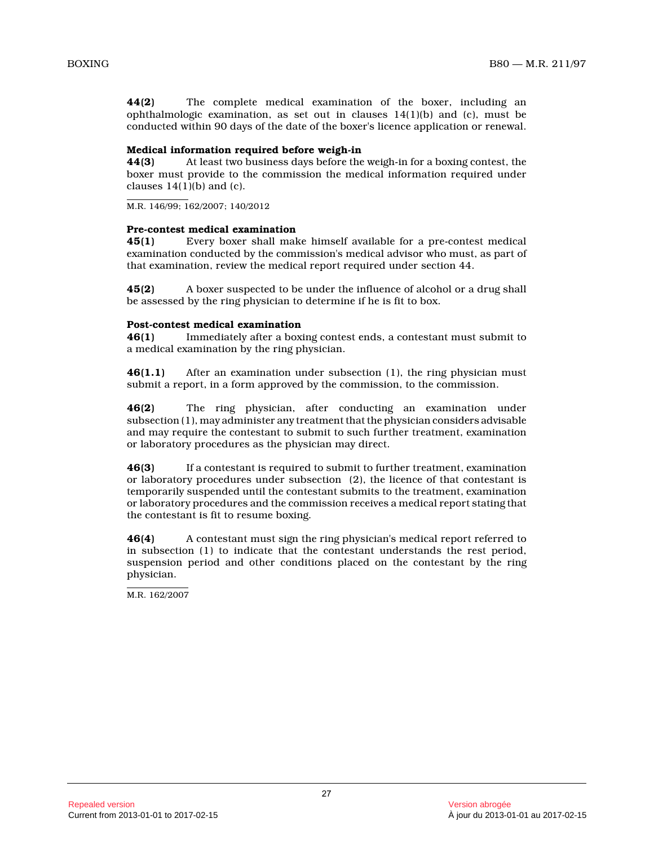**44(2)** The complete medical examination of the boxer, including an ophthalmologic examination, as set out in clauses  $14(1)(b)$  and (c), must be conducted within 90 days of the date of the boxer's licence application or renewal.

#### **Medical information required before weigh-in**

**44(3)** At least two business days before the weigh-in for a boxing contest, the boxer must provide to the commission the medical information required under clauses  $14(1)(b)$  and  $(c)$ .

M.R. 146/99; 162/2007; 140/2012

### **Pre-contest medical examination**

**45(1)** Every boxer shall make himself available for a pre-contest medical examination conducted by the commission's medical advisor who must, as part of that examination, review the medical report required under section 44.

**45(2)** A boxer suspected to be under the influence of alcohol or a drug shall be assessed by the ring physician to determine if he is fit to box.

# **Post-contest medical examination**<br>**46(1)** Immediately after a box

Immediately after a boxing contest ends, a contestant must submit to a medical examination by the ring physician.

**46(1.1)** After an examination under subsection (1), the ring physician must submit a report, in a form approved by the commission, to the commission.

**46(2)** The ring physician, after conducting an examination under subsection (1), may administer any treatment that the physician considers advisable and may require the contestant to submit to such further treatment, examination or laboratory procedures as the physician may direct.

**46(3)** If a contestant is required to submit to further treatment, examination or laboratory procedures under subsection (2), the licence of that contestant is temporarily suspended until the contestant submits to the treatment, examination or laboratory procedures and the commission receives a medical report stating that the contestant is fit to resume boxing.

**46(4)** A contestant must sign the ring physician's medical report referred to in subsection (1) to indicate that the contestant understands the rest period, suspension period and other conditions placed on the contestant by the ring physician.

M.R. 162/2007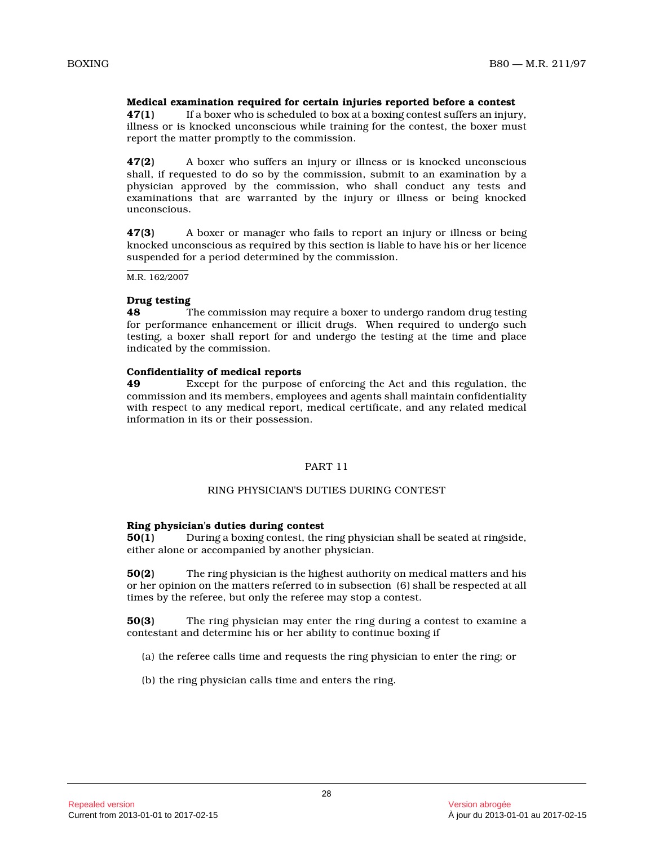# **Medical examination required for certain injuries reported before a contest**

**47(1)** If a boxer who is scheduled to box at a boxing contest suffers an injury, illness or is knocked unconscious while training for the contest, the boxer must report the matter promptly to the commission.

**47(2)** A boxer who suffers an injury or illness or is knocked unconscious shall, if requested to do so by the commission, submit to an examination by a physician approved by the commission, who shall conduct any tests and examinations that are warranted by the injury or illness or being knocked unconscious.

**47(3)** A boxer or manager who fails to report an injury or illness or being knocked unconscious as required by this section is liable to have his or her licence suspended for a period determined by the commission .

M.R. 162/2007

#### **Drug testing**

**48** The commission may require a boxer to undergo random drug testing for performance enhancement or illicit drugs. When required to undergo such testing, a boxer shall report for and undergo the testing at the time and place indicated by the commission.

#### **Confidentiality of medical reports**

**49** Except for the purpose of enforcing the Act and this regulation, the commission and its members, employees and agents shall maintain confidentiality with respect to any medical report, medical certificate, and any related medical information in its or their possession.

# PART 11

#### RING PHYSICIAN'S DUTIES DURING CONTEST

#### **Ring physician's duties during contest**

**50(1)** During a boxing contest, the ring physician shall be seated at ringside, either alone or accompanied by another physician.

**50(2)** The ring physician is the highest authority on medical matters and his or her opinion on the matters referred to in subsection (6) shall be respected at all times by the referee, but only the referee may stop a contest.

**50(3)** The ring physician may enter the ring during a contest to examine a contestant and determine his or her ability to continue boxing if

(a) the referee calls time and requests the ring physician to enter the ring; or

(b) the ring physician calls time and enters the ring.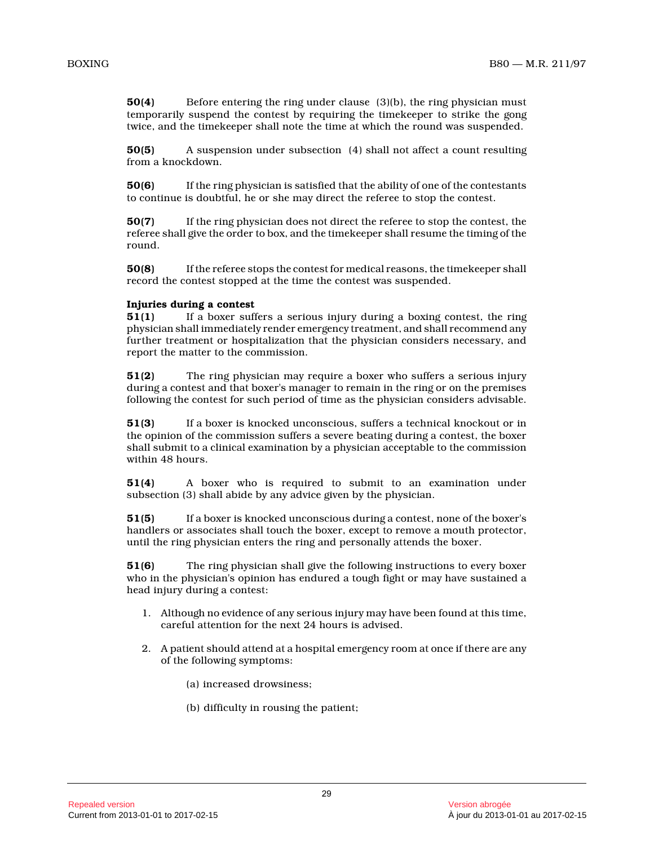**50(4)** Before entering the ring under clause (3)(b), the ring physician must temporarily suspend the contest by requiring the timekeeper to strike the gong twice, and the timekeeper shall note the time at which the round was suspended.

**50(5)** A suspension under subsection (4) shall not affect a count resulting from a knockdown.

**50(6)** If the ring physician is satisfied that the ability of one of the contestants to continue is doubtful, he or she may direct the referee to stop the contest.

**50(7)** If the ring physician does not direct the referee to stop the contest, the referee shall give the order to box, and the timekeeper shall resume the timing of the round.

**50(8)** If the referee stops the contest for medical reasons, the timekeeper shall record the contest stopped at the time the contest was suspended.

### **Injuries during a contest**

**51(1)** If a boxer suffers a serious injury during a boxing contest, the ring physician shall immediately render emergency treatment, and shall recommend any further treatment or hospitalization that the physician considers necessary, and report the matter to the commission.

**51(2)** The ring physician may require a boxer who suffers a serious injury during a contest and that boxer's manager to remain in the ring or on the premises following the contest for such period of time as the physician considers advisable.

**51(3)** If a boxer is knocked unconscious, suffers a technical knockout or in the opinion of the commission suffers a severe beating during a contest, the boxer shall submit to a clinical examination by a physician acceptable to the commission within 48 hours.

**51(4)** A boxer who is required to submit to an examination under subsection (3) shall abide by any advice given by the physician.

**51(5)** If a boxer is knocked unconscious during a contest, none of the boxer's handlers or associates shall touch the boxer, except to remove a mouth protector, until the ring physician enters the ring and personally attends the boxer.

**51(6)** The ring physician shall give the following instructions to every boxer who in the physician's opinion has endured a tough fight or may have sustained a head injury during a contest:

- 1. Although no evidence of any serious injury may have been found at this time, careful attention for the next 24 hours is advised.
- 2. A patient should attend at a hospital emergency room at once if there are any of the following symptoms:
	- (a) increased drowsiness;
	- (b) difficulty in rousing the patient;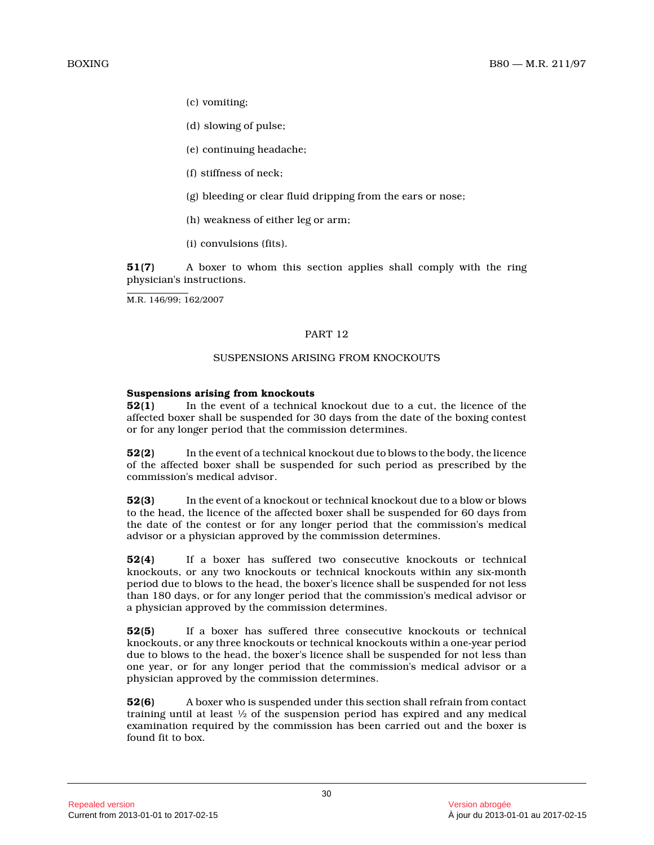- (c) vomiting;
- (d) slowing of pulse;
- (e) continuing headache;
- (f) stiffness of neck;
- (g) bleeding or clear fluid dripping from the ears or nose;
- (h) weakness of either leg or arm;
- (i) convulsions (fits).

**51(7)** A boxer to whom this section applies shall comply with the ring physician's instructions.

M.R. 146/99; 162/2007

# PART 12

## SUSPENSIONS ARISING FROM KNOCKOUTS

# **Suspensions arising from knockouts**

**52(1)** In the event of a technical knockout due to a cut, the licence of the affected boxer shall be suspended for 30 days from the date of the boxing contest or for any longer period that the commission determines.

**52(2)** In the event of a technical knockout due to blows to the body, the licence of the affected boxer shall be suspended for such period as prescribed by the commission's medical advisor.

**52(3)** In the event of a knockout or technical knockout due to a blow or blows to the head, the licence of the affected boxer shall be suspended for 60 days from the date of the contest or for any longer period that the commission's medical advisor or a physician approved by the commission determines.

**52(4)** If a boxer has suffered two consecutive knockouts or technical knockouts, or any two knockouts or technical knockouts within any six-month period due to blows to the head, the boxer's licence shall be suspended for not less than 180 days, or for any longer period that the commission's medical advisor or a physician approved by the commission determines.

**52(5)** If a boxer has suffered three consecutive knockouts or technical knockouts, or any three knockouts or technical knockouts within a one-year period due to blows to the head, the boxer's licence shall be suspended for not less than one year, or for any longer period that the commission's medical advisor or a physician approved by the commission determines.

**52(6)** A boxer who is suspended under this section shall refrain from contact training until at least ½ of the suspension period has expired and any medical examination required by the commission has been carried out and the boxer is found fit to box.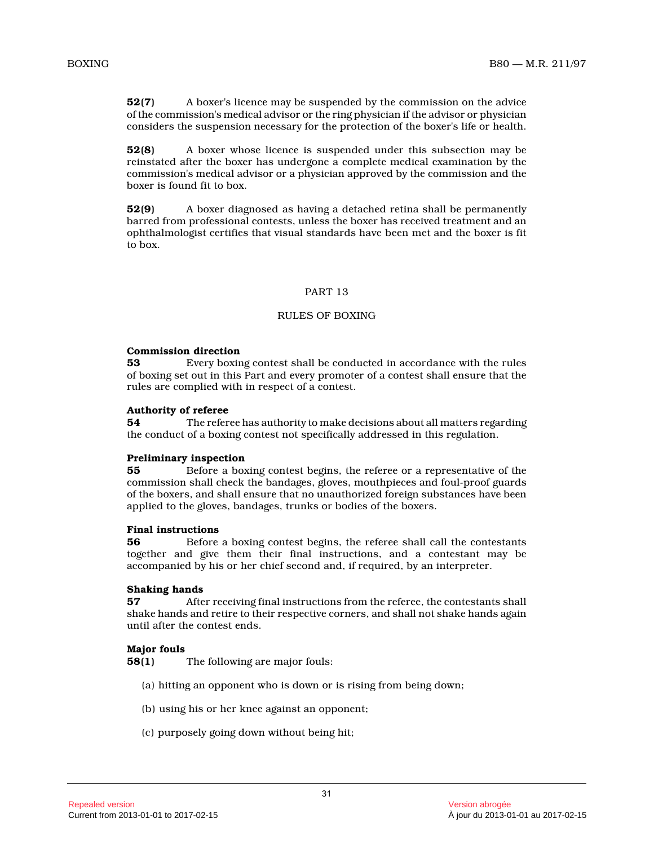**52(7)** A boxer's licence may be suspended by the commission on the advice of the commission's medical advisor or the ring physician if the advisor or physician considers the suspension necessary for the protection of the boxer's life or health.

**52(8)** A boxer whose licence is suspended under this subsection may be reinstated after the boxer has undergone a complete medical examination by the commission's medical advisor or a physician approved by the commission and the boxer is found fit to box.

**52(9)** A boxer diagnosed as having a detached retina shall be permanently barred from professional contests, unless the boxer has received treatment and an ophthalmologist certifies that visual standards have been met and the boxer is fit to box.

# PART 13

# RULES OF BOXING

#### **Commission direction**

**53** Every boxing contest shall be conducted in accordance with the rules of boxing set out in this Part and every promoter of a contest shall ensure that the rules are complied with in respect of a contest.

#### **Authority of referee**

**54** The referee has authority to make decisions about all matters regarding the conduct of a boxing contest not specifically addressed in this regulation.

#### **Preliminary inspection**

**55** Before a boxing contest begins, the referee or a representative of the commission shall check the bandages, gloves, mouthpieces and foul-proof guards of the boxers, and shall ensure that no unauthorized foreign substances have been applied to the gloves, bandages, trunks or bodies of the boxers.

## **Final instructions**

**56** Before a boxing contest begins, the referee shall call the contestants together and give them their final instructions, and a contestant may be accompanied by his or her chief second and, if required, by an interpreter.

#### **Shaking hands**

**57** After receiving final instructions from the referee, the contestants shall shake hands and retire to their respective corners, and shall not shake hands again until after the contest ends.

#### **Major fouls**

**58(1)** The following are major fouls:

- (a) hitting an opponent who is down or is rising from being down;
- (b) using his or her knee against an opponent;
- (c) purposely going down without being hit;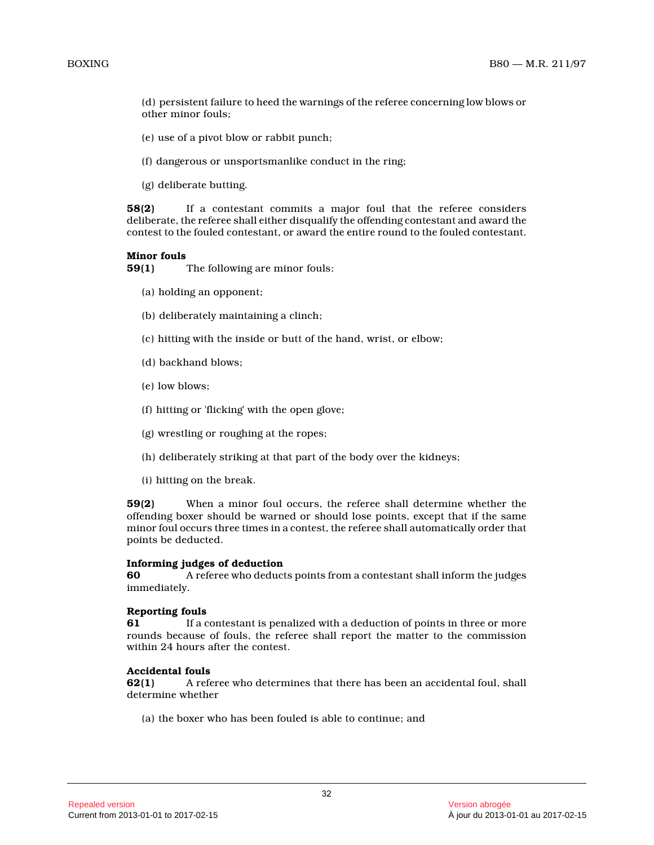(d) persistent failure to heed the warnings of the referee concerning low blows or other minor fouls;

- (e) use of a pivot blow or rabbit punch;
- (f) dangerous or unsportsmanlike conduct in the ring;
- (g) deliberate butting.

**58(2)** If a contestant commits a major foul that the referee considers deliberate, the referee shall either disqualify the offending contestant and award the contest to the fouled contestant, or award the entire round to the fouled contestant.

#### **Minor fouls**

**59(1)** The following are minor fouls:

- (a) holding an opponent;
- (b) deliberately maintaining a clinch;
- (c) hitting with the inside or butt of the hand, wrist, or elbow;
- (d) backhand blows;
- (e) low blows;
- (f) hitting or 'flicking' with the open glove;
- (g) wrestling or roughing at the ropes;
- (h) deliberately striking at that part of the body over the kidneys;
- (i) hitting on the break.

**59(2)** When a minor foul occurs, the referee shall determine whether the offending boxer should be warned or should lose points, except that if the same minor foul occurs three times in a contest, the referee shall automatically order that points be deducted.

#### **Informing judges of deduction**

**60** A referee who deducts points from a contestant shall inform the judges immediately.

#### **Reporting fouls**

**61** If a contestant is penalized with a deduction of points in three or more rounds because of fouls, the referee shall report the matter to the commission within 24 hours after the contest.

#### **Accidental fouls**

**62(1)** A referee who determines that there has been an accidental foul, shall determine whether

(a) the boxer who has been fouled is able to continue; and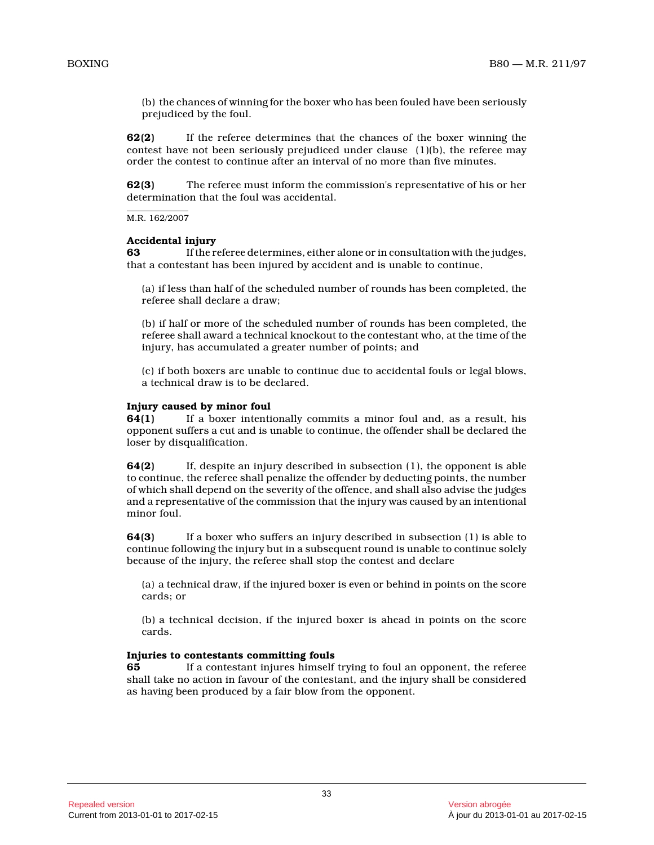(b) the chances of winning for the boxer who has been fouled have been seriously prejudiced by the foul.

**62(2)** If the referee determines that the chances of the boxer winning the contest have not been seriously prejudiced under clause  $(1)(b)$ , the referee may order the contest to continue after an interval of no more than five minutes.

**62(3)** The referee must inform the commission's representative of his or her determination that the foul was accidental.

M.R. 162/2007

#### **Accidental injury**

**63** If the referee determines, either alone or in consultation with the judges, that a contestant has been injured by accident and is unable to continue,

(a) if less than half of the scheduled number of rounds has been completed, the referee shall declare a draw;

(b) if half or more of the scheduled number of rounds has been completed, the referee shall award a technical knockout to the contestant who, at the time of the injury, has accumulated a greater number of points; and

(c) if both boxers are unable to continue due to accidental fouls or legal blows, a technical draw is to be declared.

#### **Injury caused by minor foul**

**64(1)** If a boxer intentionally commits a minor foul and, as a result, his opponent suffers a cut and is unable to continue, the offender shall be declared the loser by disqualification.

**64(2)** If, despite an injury described in subsection (1), the opponent is able to continue, the referee shall penalize the offender by deducting points, the number of which shall depend on the severity of the offence, and shall also advise the judges and a representative of the commission that the injury was caused by an intentional minor foul.

**64(3)** If a boxer who suffers an injury described in subsection (1) is able to continue following the injury but in a subsequent round is unable to continue solely because of the injury, the referee shall stop the contest and declare

(a) a technical draw, if the injured boxer is even or behind in points on the score cards; or

(b) a technical decision, if the injured boxer is ahead in points on the score cards.

# **Injuries to contestants committing fouls**

**65** If a contestant injures himself trying to foul an opponent, the referee shall take no action in favour of the contestant, and the injury shall be considered as having been produced by a fair blow from the opponent.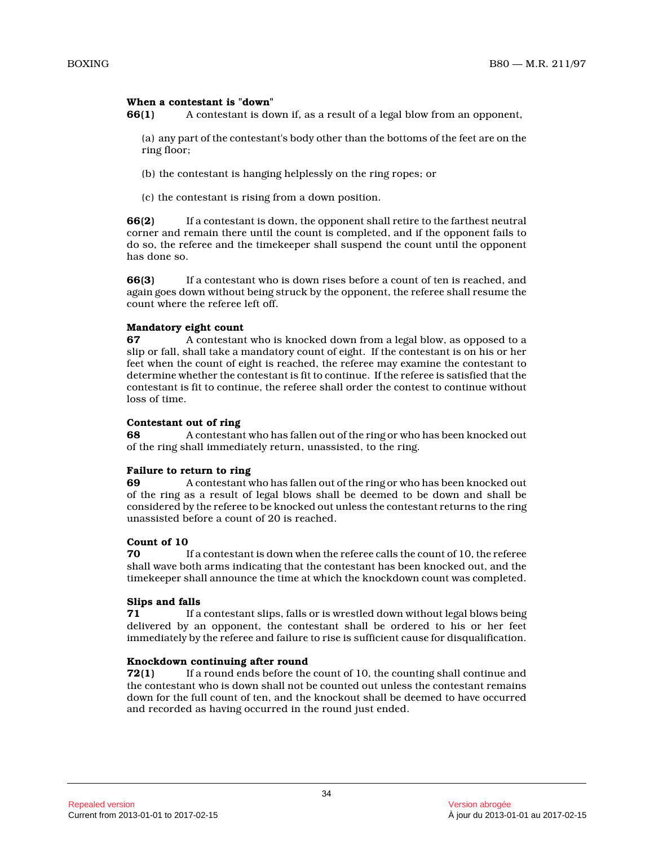# **When a contestant is "down"**

**66(1)** A contestant is down if, as a result of a legal blow from an opponent,

(a) any part of the contestant's body other than the bottoms of the feet are on the ring floor;

- (b) the contestant is hanging helplessly on the ring ropes; or
- (c) the contestant is rising from a down position.

**66(2)** If a contestant is down, the opponent shall retire to the farthest neutral corner and remain there until the count is completed, and if the opponent fails to do so, the referee and the timekeeper shall suspend the count until the opponent has done so.

**66(3)** If a contestant who is down rises before a count of ten is reached, and again goes down without being struck by the opponent, the referee shall resume the count where the referee left off.

# **Mandatory eight count**

**67** A contestant who is knocked down from a legal blow, as opposed to a slip or fall, shall take a mandatory count of eight. If the contestant is on his or her feet when the count of eight is reached, the referee may examine the contestant to determine whether the contestant is fit to continue. If the referee is satisfied that the contestant is fit to continue, the referee shall order the contest to continue without loss of time.

### **Contestant out of ring**

**68** A contestant who has fallen out of the ring or who has been knocked out of the ring shall immediately return, unassisted, to the ring.

# **Failure to return to ring**

**69** A contestant who has fallen out of the ring or who has been knocked out of the ring as a result of legal blows shall be deemed to be down and shall be considered by the referee to be knocked out unless the contestant returns to the ring unassisted before a count of 20 is reached.

# **Count of 10**

**70** If a contestant is down when the referee calls the count of 10, the referee shall wave both arms indicating that the contestant has been knocked out, and the timekeeper shall announce the time at which the knockdown count was completed.

# **Slips and falls**

**71** If a contestant slips, falls or is wrestled down without legal blows being delivered by an opponent, the contestant shall be ordered to his or her feet immediately by the referee and failure to rise is sufficient cause for disqualification.

#### **Knockdown continuing after round**

**72(1)** If a round ends before the count of 10, the counting shall continue and the contestant who is down shall not be counted out unless the contestant remains down for the full count of ten, and the knockout shall be deemed to have occurred and recorded as having occurred in the round just ended.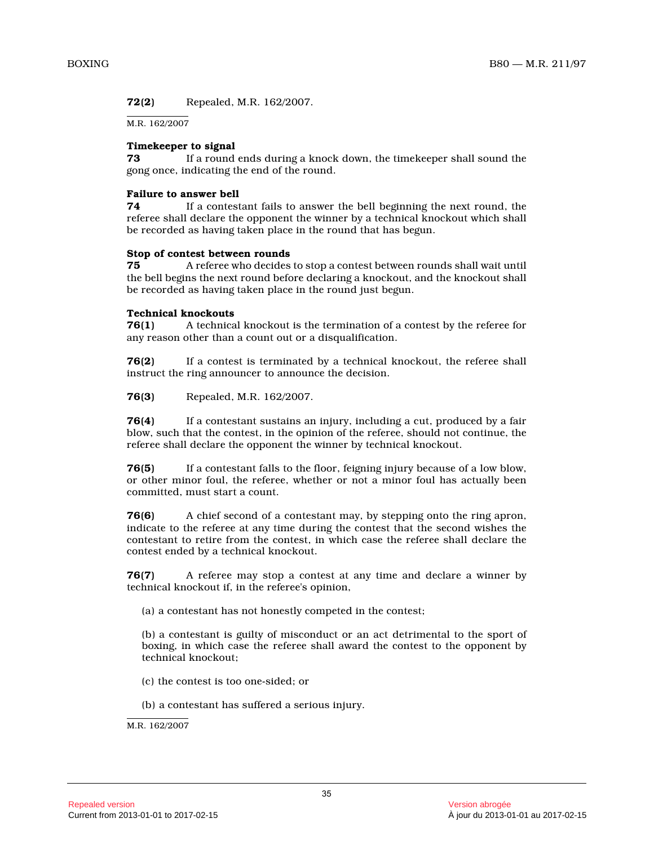**72(2)** Repealed, M.R. 162/2007.

M.R. 162/2007

# **Timekeeper to signal**

**73** If a round ends during a knock down, the timekeeper shall sound the gong once, indicating the end of the round.

# **Failure to answer bell**

**74** If a contestant fails to answer the bell beginning the next round, the referee shall declare the opponent the winner by a technical knockout which shall be recorded as having taken place in the round that has begun.

# **Stop of contest between rounds**

**75** A referee who decides to stop a contest between rounds shall wait until the bell begins the next round before declaring a knockout, and the knockout shall be recorded as having taken place in the round just begun.

# **Technical knockouts**

**76(1)** A technical knockout is the termination of a contest by the referee for any reason other than a count out or a disqualification.

**76(2)** If a contest is terminated by a technical knockout, the referee shall instruct the ring announcer to announce the decision.

**76(3)** Repealed, M.R. 162/2007.

**76(4)** If a contestant sustains an injury, including a cut, produced by a fair blow, such that the contest, in the opinion of the referee, should not continue, the referee shall declare the opponent the winner by technical knockout.

**76(5)** If a contestant falls to the floor, feigning injury because of a low blow, or other minor foul, the referee, whether or not a minor foul has actually been committed, must start a count.

**76(6)** A chief second of a contestant may, by stepping onto the ring apron, indicate to the referee at any time during the contest that the second wishes the contestant to retire from the contest, in which case the referee shall declare the contest ended by a technical knockout.

**76(7)** A referee may stop a contest at any time and declare a winner by technical knockout if, in the referee's opinion,

(a) a contestant has not honestly competed in the contest;

(b) a contestant is guilty of misconduct or an act detrimental to the sport of boxing, in which case the referee shall award the contest to the opponent by technical knockout;

(c) the contest is too one-sided; or

(b) a contestant has suffered a serious injury.

M.R. 162/2007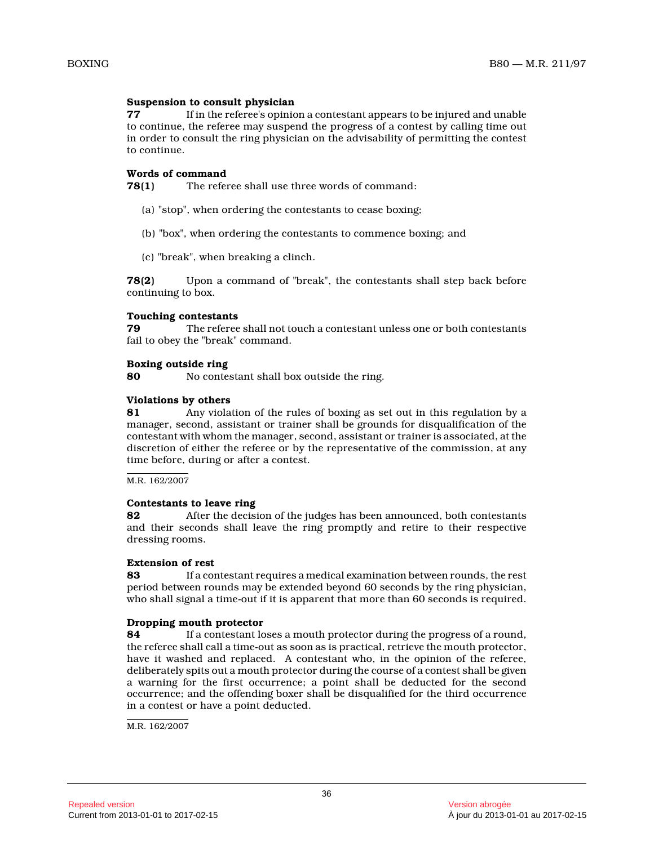### **Suspension to consult physician**

**77** If in the referee's opinion a contestant appears to be injured and unable to continue, the referee may suspend the progress of a contest by calling time out in order to consult the ring physician on the advisability of permitting the contest to continue.

# **Words of command**

**78(1)** The referee shall use three words of command:

- (a) "stop", when ordering the contestants to cease boxing;
- (b) "box", when ordering the contestants to commence boxing; and
- (c) "break", when breaking a clinch.

**78(2)** Upon a command of "break", the contestants shall step back before continuing to box.

# **Touching contestants**

**79** The referee shall not touch a contestant unless one or both contestants fail to obey the "break" command.

# **Boxing outside ring**

**80** No contestant shall box outside the ring.

# **Violations by others**

**81** Any violation of the rules of boxing as set out in this regulation by a manager, second, assistant or trainer shall be grounds for disqualification of the contestant with whom the manager, second, assistant or trainer is associated, at the discretion of either the referee or by the representative of the commission, at any time before, during or after a contest.

M.R. 162/2007

# **Contestants to leave ring**

**82** After the decision of the judges has been announced, both contestants and their seconds shall leave the ring promptly and retire to their respective dressing rooms.

# **Extension of rest**

**83** If a contestant requires a medical examination between rounds, the rest period between rounds may be extended beyond 60 seconds by the ring physician, who shall signal a time-out if it is apparent that more than 60 seconds is required.

# **Dropping mouth protector**

**84** If a contestant loses a mouth protector during the progress of a round, the referee shall call a time-out as soon as is practical, retrieve the mouth protector, have it washed and replaced. A contestant who, in the opinion of the referee, deliberately spits out a mouth protector during the course of a contest shall be given a warning for the first occurrence; a point shall be deducted for the second occurrence; and the offending boxer shall be disqualified for the third occurrence in a contest or have a point deducted.

M.R. 162/2007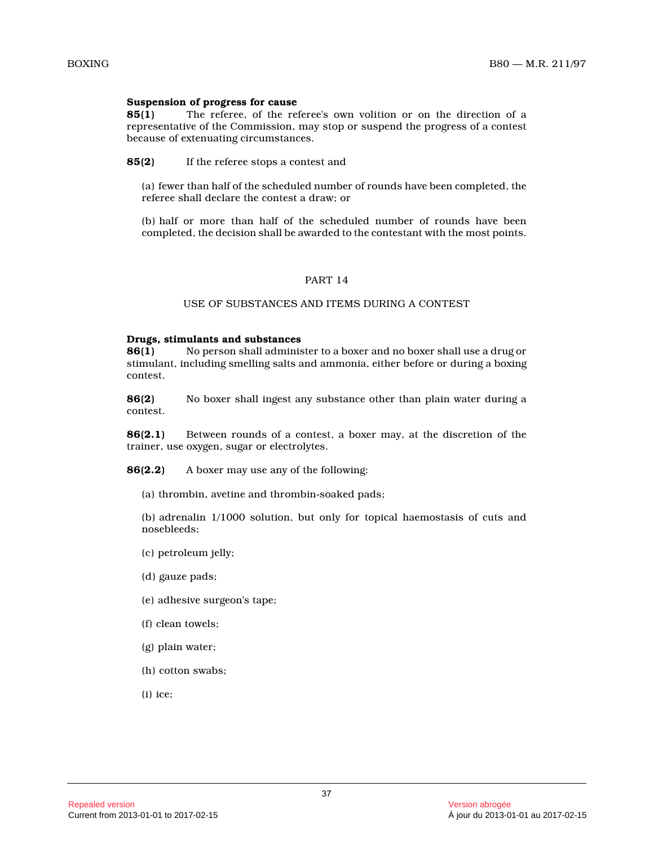### **Suspension of progress for cause**

**85(1)** The referee, of the referee's own volition or on the direction of a representative of the Commission, may stop or suspend the progress of a contest because of extenuating circumstances.

**85(2)** If the referee stops a contest and

(a) fewer than half of the scheduled number of rounds have been completed, the referee shall declare the contest a draw; or

(b) half or more than half of the scheduled number of rounds have been completed, the decision shall be awarded to the contestant with the most points.

#### PART 14

#### USE OF SUBSTANCES AND ITEMS DURING A CONTEST

#### **Drugs, stimulants and substances**

**86(1)** No person shall administer to a boxer and no boxer shall use a drug or stimulant, including smelling salts and ammonia, either before or during a boxing contest.

**86(2)** No boxer shall ingest any substance other than plain water during a contest.

**86(2.1)** Between rounds of a contest, a boxer may, at the discretion of the trainer, use oxygen, sugar or electrolytes.

**86(2.2)** A boxer may use any of the following:

(a) thrombin, avetine and thrombin-soaked pads;

(b) adrenalin 1/1000 solution, but only for topical haemostasis of cuts and nosebleeds;

- (c) petroleum jelly;
- (d) gauze pads;
- (e) adhesive surgeon's tape;
- (f) clean towels;
- (g) plain water;
- (h) cotton swabs;
- (i) ice;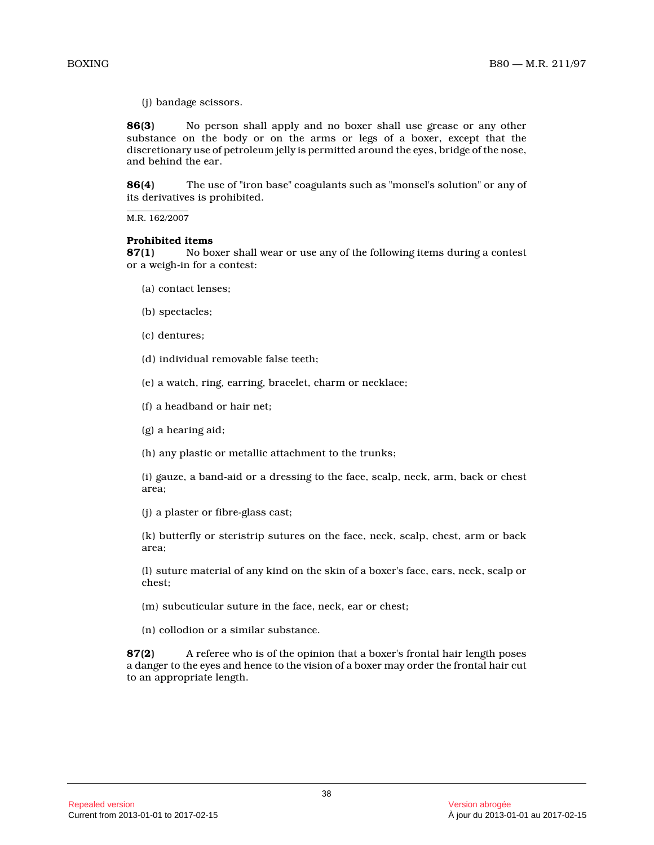(j) bandage scissors.

**86(3)** No person shall apply and no boxer shall use grease or any other substance on the body or on the arms or legs of a boxer, except that the discretionary use of petroleum jelly is permitted around the eyes, bridge of the nose, and behind the ear.

**86(4)** The use of "iron base" coagulants such as "monsel's solution" or any of its derivatives is prohibited.

M.R. 162/2007

#### **Prohibited items**

**87(1)** No boxer shall wear or use any of the following items during a contest or a weigh-in for a contest:

- (a) contact lenses;
- (b) spectacles;
- (c) dentures;
- (d) individual removable false teeth;

(e) a watch, ring, earring, bracelet, charm or necklace;

- (f) a headband or hair net;
- (g) a hearing aid;

(h) any plastic or metallic attachment to the trunks ;

(i) gauze, a band-aid or a dressing to the face, scalp, neck, arm, back or chest area;

(j) a plaster or fibre-glass cast;

(k) butterfly or steristrip sutures on the face, neck, scalp, chest, arm or back area;

(l) suture material of any kind on the skin of a boxer's face, ears, neck, scalp or chest;

(m) subcuticular suture in the face, neck, ear or chest;

(n) collodion or a similar substance.

**87(2)** A referee who is of the opinion that a boxer's frontal hair length poses a danger to the eyes and hence to the vision of a boxer may order the frontal hair cut to an appropriate length.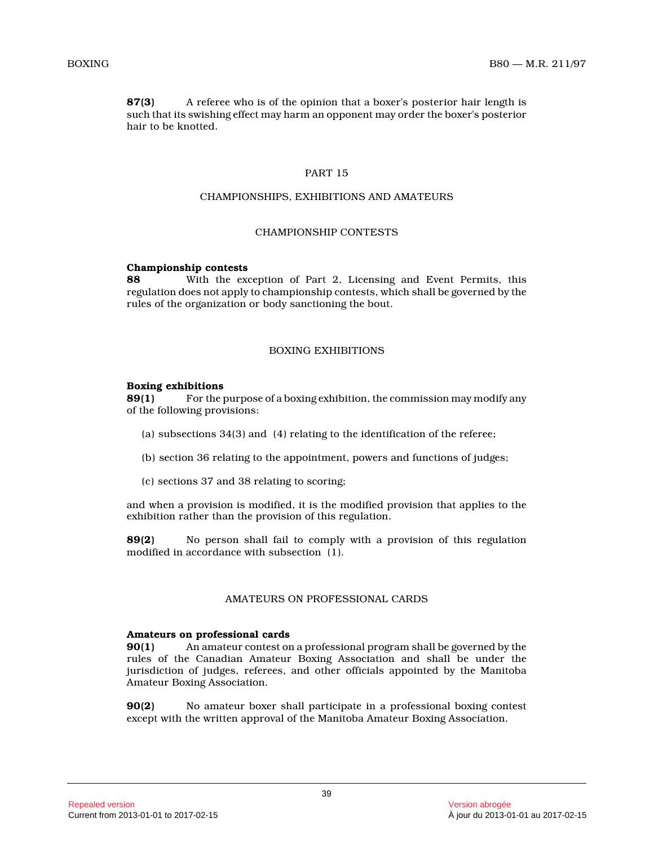**87(3)** A referee who is of the opinion that a boxer's posterior hair length is such that its swishing effect may harm an opponent may order the boxer's posterior hair to be knotted.

# PART 15

# CHAMPIONSHIPS, EXHIBITIONS AND AMATEURS

#### CHAMPIONSHIP CONTESTS

#### **Championship contests**

**88** With the exception of Part 2, Licensing and Event Permits, this regulation does not apply to championship contests, which shall be governed by the rules of the organization or body sanctioning the bout.

# BOXING EXHIBITIONS

# **Boxing exhibitions**

**89(1)** For the purpose of a boxing exhibition, the commission may modify any of the following provisions:

- (a) subsections 34(3) and (4) relating to the identification of the referee;
- (b) section 36 relating to the appointment, powers and functions of judges;
- (c) sections 37 and 38 relating to scoring;

and when a provision is modified, it is the modified provision that applies to the exhibition rather than the provision of this regulation.

**89(2)** No person shall fail to comply with a provision of this regulation modified in accordance with subsection (1).

# AMATEURS ON PROFESSIONAL CARDS

#### **Amateurs on professional cards**

**90(1)** An amateur contest on a professional program shall be governed by the rules of the Canadian Amateur Boxing Association and shall be under the jurisdiction of judges, referees, and other officials appointed by the Manitoba Amateur Boxing Association.

**90(2)** No amateur boxer shall participate in a professional boxing contest except with the written approval of the Manitoba Amateur Boxing Association.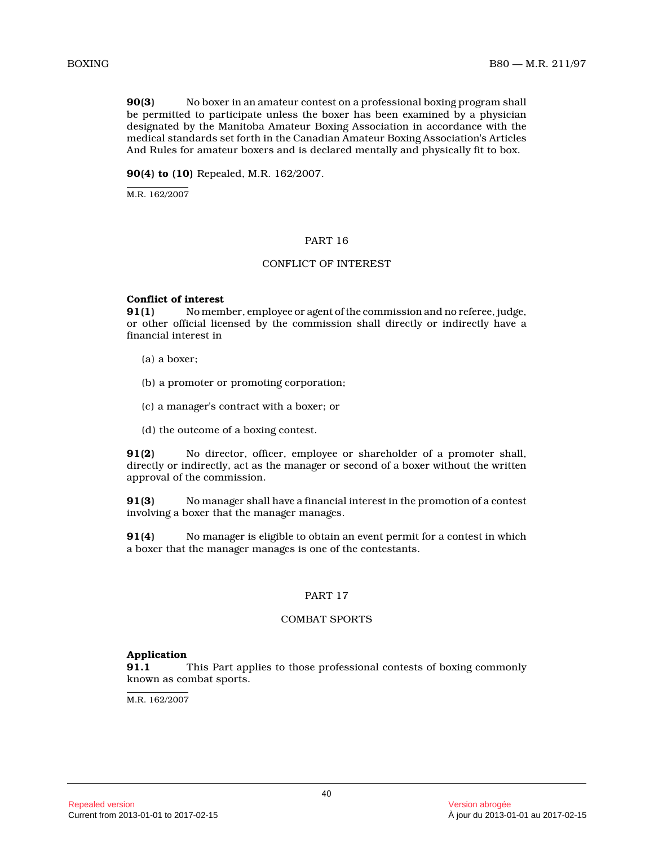**90(3)** No boxer in an amateur contest on a professional boxing program shall be permitted to participate unless the boxer has been examined by a physician designated by the Manitoba Amateur Boxing Association in accordance with the medical standards set forth in the Canadian Amateur Boxing Association's Articles And Rules for amateur boxers and is declared mentally and physically fit to box.

**90(4) to (10)** Repealed, M.R. 162/2007.

M.R. 162/2007

# PART 16

# CONFLICT OF INTEREST

# **Conflict of interest**

**91(1)** No member, employee or agent of the commission and no referee, judge, or other official licensed by the commission shall directly or indirectly have a financial interest in

- (a) a boxer;
- (b) a promoter or promoting corporation;
- (c) a manager's contract with a boxer; or
- (d) the outcome of a boxing contest.

**91(2)** No director, officer, employee or shareholder of a promoter shall, directly or indirectly, act as the manager or second of a boxer without the written approval of the commission.

**91(3)** No manager shall have a financial interest in the promotion of a contest involving a boxer that the manager manages.

**91(4)** No manager is eligible to obtain an event permit for a contest in which a boxer that the manager manages is one of the contestants.

#### PART 17

### COMBAT SPORTS

#### **Application**

**91.1** This Part applies to those professional contests of boxing commonly known as combat sports.

M.R. 162/2007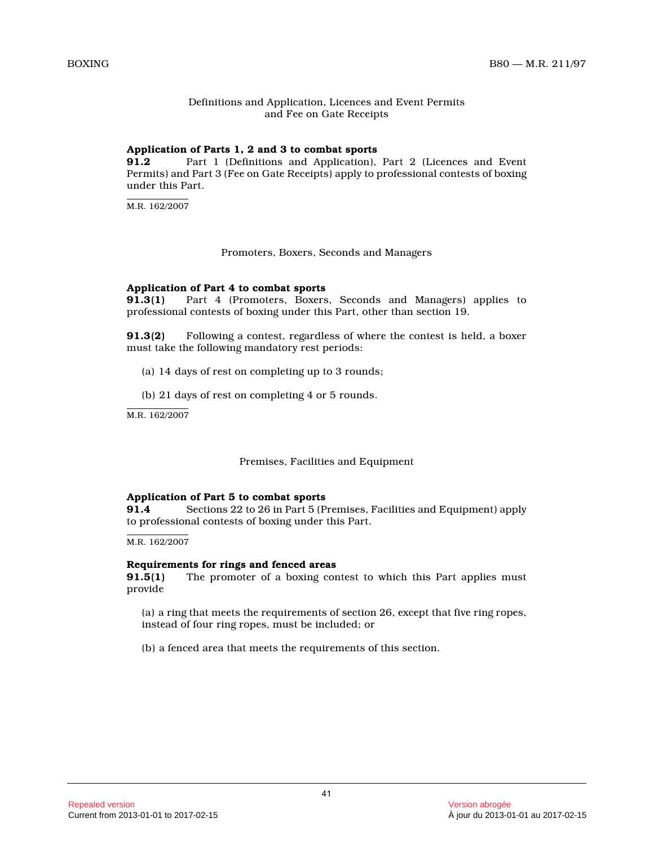# Definitions and Application, Licences and Event Permits and Fee on Gate Receipts

# **Application of Parts 1, 2 and 3 to combat sports**

**91.2** Part 1 (Definitions and Application), Part 2 (Licences and Event Permits) and Part 3 (Fee on Gate Receipts) apply to professional contests of boxing under this Part.

 $M.R. 162/2007$ 

# Promoters, Boxers, Seconds and Managers

# **Application of Part 4 to combat sports**

Part 4 (Promoters, Boxers, Seconds and Managers) applies to professional contests of boxing under this Part, other than section 19.

**91.3(2)** Following a contest, regardless of where the contest is held, a boxer must take the following mandatory rest periods:

- (a) 14 days of rest on completing up to 3 rounds;
- (b) 21 days of rest on completing 4 or 5 rounds.

M.R. 162/2007

# Premises, Facilities and Equipment

# **Application of Part 5 to combat sports**

**91.4** Sections 22 to 26 in Part 5 (Premises, Facilities and Equipment) apply to professional contests of boxing under this Part.

M.R. 162/2007

#### **Requirements for rings and fenced areas**

**91.5(1)** The promoter of a boxing contest to which this Part applies must provide

(a) a ring that meets the requirements of section 26, except that five ring ropes, instead of four ring ropes, must be included; or

(b) a fenced area that meets the requirements of this section.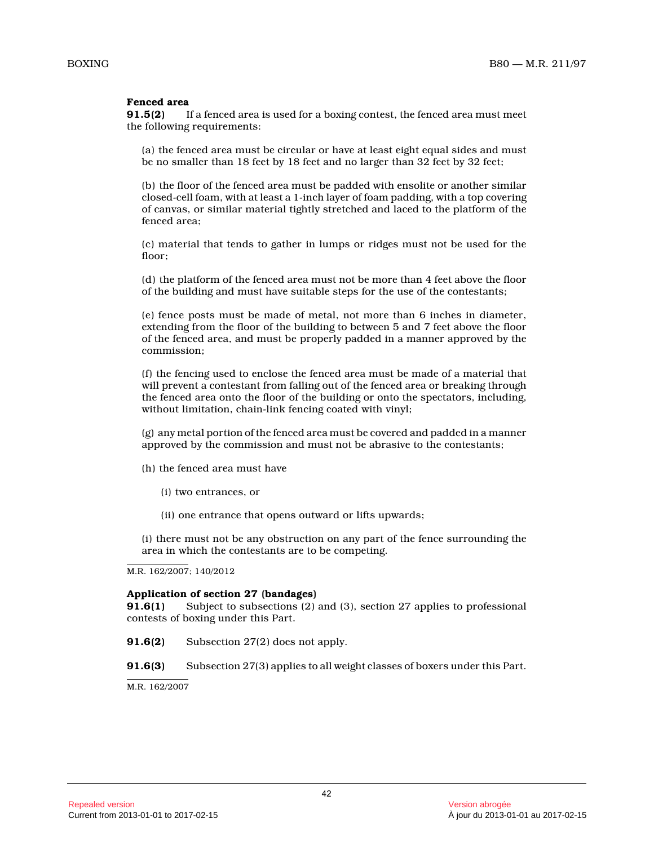# **Fenced area**

**91.5(2)** If a fenced area is used for a boxing contest, the fenced area must meet the following requirements:

(a) the fenced area must be circular or have at least eight equal sides and must be no smaller than 18 feet by 18 feet and no larger than 32 feet by 32 feet;

(b) the floor of the fenced area must be padded with ensolite or another similar closed-cell foam, with at least a 1-inch layer of foam padding, with a top covering of canvas, or similar material tightly stretched and laced to the platform of the fenced area;

(c) material that tends to gather in lumps or ridges must not be used for the floor;

(d) the platform of the fenced area must not be more than 4 feet above the floor of the building and must have suitable steps for the use of the contestants;

(e) fence posts must be made of metal, not more than 6 inches in diameter, extending from the floor of the building to between 5 and 7 feet above the floor of the fenced area, and must be properly padded in a manner approved by the commission;

(f) the fencing used to enclose the fenced area must be made of a material that will prevent a contestant from falling out of the fenced area or breaking through the fenced area onto the floor of the building or onto the spectators, including, without limitation, chain-link fencing coated with vinyl;

(g) any metal portion of the fenced area must be covered and padded in a manner approved by the commission and must not be abrasive to the contestants;

- (h) the fenced area must have
	- (i) two entrances, or
	- (ii) one entrance that opens outward or lifts upwards;

(i) there must not be any obstruction on any part of the fence surrounding the area in which the contestants are to be competing.

M.R. 162/2007; 140/2012

#### **Application of section 27 (bandages)**

**91.6(1)** Subject to subsections (2) and (3), section 27 applies to professional contests of boxing under this Part.

**91.6(2)** Subsection 27(2) does not apply.

**91.6(3)** Subsection 27(3) applies to all weight classes of boxers under this Part.

M.R. 162/2007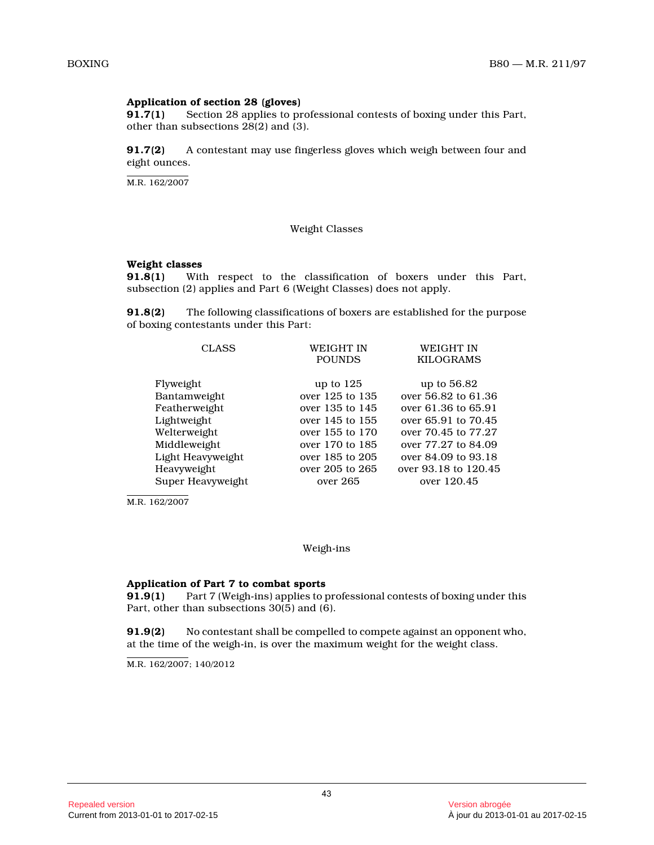# **Application of section 28 (gloves)**<br>**91.7(1)** Section 28 applies to pr

Section 28 applies to professional contests of boxing under this Part, other than subsections 28(2) and (3).

**91.7(2)** A contestant may use fingerless gloves which weigh between four and eight ounces.

M.R. 162/2007

#### Weight Classes

# **Weight classes**<br>91.8(1) With

With respect to the classification of boxers under this Part, subsection (2) applies and Part 6 (Weight Classes) does not apply.

**91.8(2)** The following classifications of boxers are established for the purpose of boxing contestants under this Part:

| <b>CLASS</b>      | WEIGHT IN       | WEIGHT IN            |
|-------------------|-----------------|----------------------|
|                   | <b>POUNDS</b>   | <b>KILOGRAMS</b>     |
|                   |                 |                      |
| Flyweight         | up to $125$     | up to 56.82          |
| Bantamweight      | over 125 to 135 | over 56.82 to 61.36  |
| Featherweight     | over 135 to 145 | over 61.36 to 65.91  |
| Lightweight       | over 145 to 155 | over 65.91 to 70.45  |
| Welterweight      | over 155 to 170 | over 70.45 to 77.27  |
| Middleweight      | over 170 to 185 | over 77.27 to 84.09  |
| Light Heavyweight | over 185 to 205 | over 84.09 to 93.18  |
| Heavyweight       | over 205 to 265 | over 93.18 to 120.45 |
| Super Heavyweight | over 265        | over 120.45          |
|                   |                 |                      |

M.R. 162/2007

#### Weigh-ins

#### **Application of Part 7 to combat sports**

**91.9(1)** Part 7 (Weigh-ins) applies to professional contests of boxing under this Part, other than subsections 30(5) and (6).

**91.9(2)** No contestant shall be compelled to compete against an opponent who, at the time of the weigh-in, is over the maximum weight for the weight class.

M.R. 162/2007; 140/2012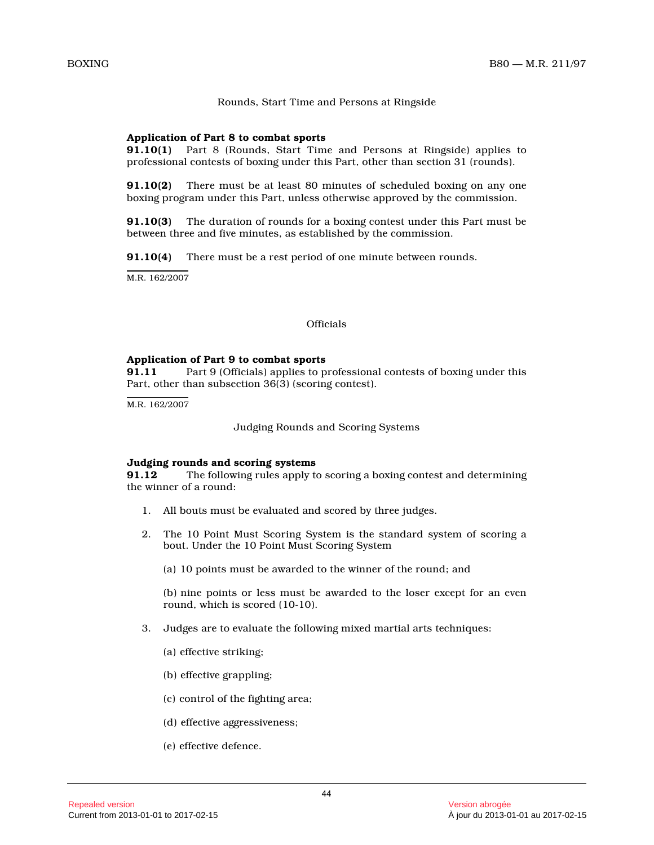### Rounds, Start Time and Persons at Ringside

#### **Application of Part 8 to combat sports**

**91.10(1)** Part 8 (Rounds, Start Time and Persons at Ringside) applies to professional contests of boxing under this Part, other than section 31 (rounds).

**91.10(2)** There must be at least 80 minutes of scheduled boxing on any one boxing program under this Part, unless otherwise approved by the commission.

**91.10(3)** The duration of rounds for a boxing contest under this Part must be between three and five minutes, as established by the commission.

**91.10(4)** There must be a rest period of one minute between rounds.

M.R. 162/2007

#### **Officials**

#### **Application of Part 9 to combat sports**

**91.11** Part 9 (Officials) applies to professional contests of boxing under this Part, other than subsection 36(3) (scoring contest) .

M.R. 162/2007

Judging Rounds and Scoring Systems

#### **Judging rounds and scoring systems**

**91.12** The following rules apply to scoring a boxing contest and determining the winner of a round:

- 1. All bouts must be evaluated and scored by three judges.
- 2. The 10 Point Must Scoring System is the standard system of scoring a bout. Under the 10 Point Must Scoring System
	- (a) 10 points must be awarded to the winner of the round; and

(b) nine points or less must be awarded to the loser except for an even round, which is scored (10-10).

- 3. Judges are to evaluate the following mixed martial arts techniques:
	- (a) effective striking;
	- (b) effective grappling;
	- (c) control of the fighting area;
	- (d) effective aggressiveness;
	- (e) effective defence.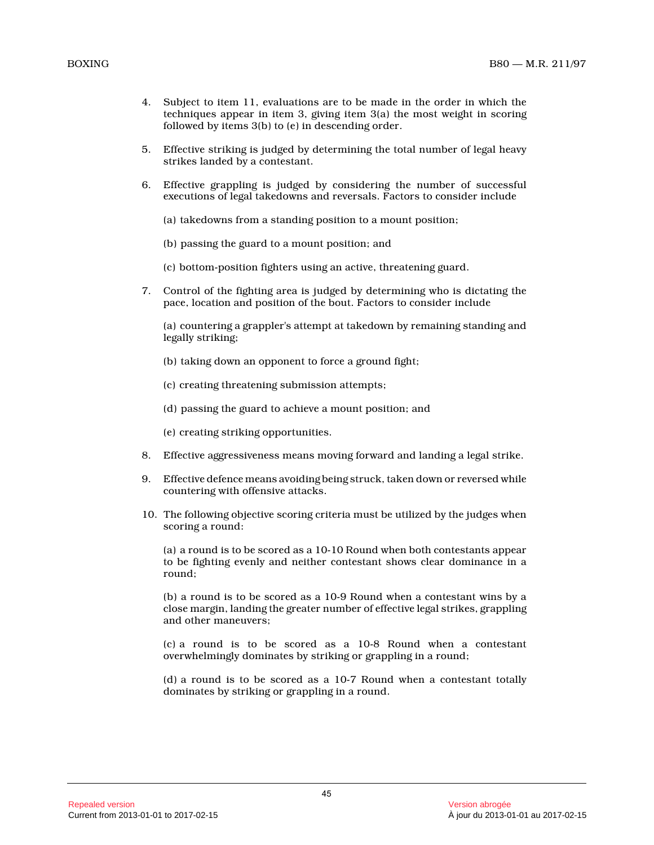- 4. Subject to item 11, evaluations are to be made in the order in which the techniques appear in item 3, giving item 3(a) the most weight in scoring followed by items 3(b) to (e) in descending order.
- 5. Effective striking is judged by determining the total number of legal heavy strikes landed by a contestant.
- 6. Effective grappling is judged by considering the number of successful executions of legal takedowns and reversals. Factors to consider include
	- (a) takedowns from a standing position to a mount position;
	- (b) passing the guard to a mount position; and
	- (c) bottom-position fighters using an active, threatening guard.
- 7. Control of the fighting area is judged by determining who is dictating the pace, location and position of the bout. Factors to consider include

(a) countering a grappler's attempt at takedown by remaining standing and legally striking;

- (b) taking down an opponent to force a ground fight;
- (c) creating threatening submission attempts;
- (d) passing the guard to achieve a mount position; and
- (e) creating striking opportunities.
- 8. Effective aggressiveness means moving forward and landing a legal strike.
- 9. Effective defence means avoiding being struck, taken down or reversed while countering with offensive attacks.
- 10. The following objective scoring criteria must be utilized by the judges when scoring a round:

(a) a round is to be scored as a 10-10 Round when both contestants appear to be fighting evenly and neither contestant shows clear dominance in a round;

(b) a round is to be scored as a 10-9 Round when a contestant wins by a close margin, landing the greater number of effective legal strikes, grappling and other maneuvers;

(c) a round is to be scored as a 10-8 Round when a contestant overwhelmingly dominates by striking or grappling in a round;

(d) a round is to be scored as a 10-7 Round when a contestant totally dominates by striking or grappling in a round.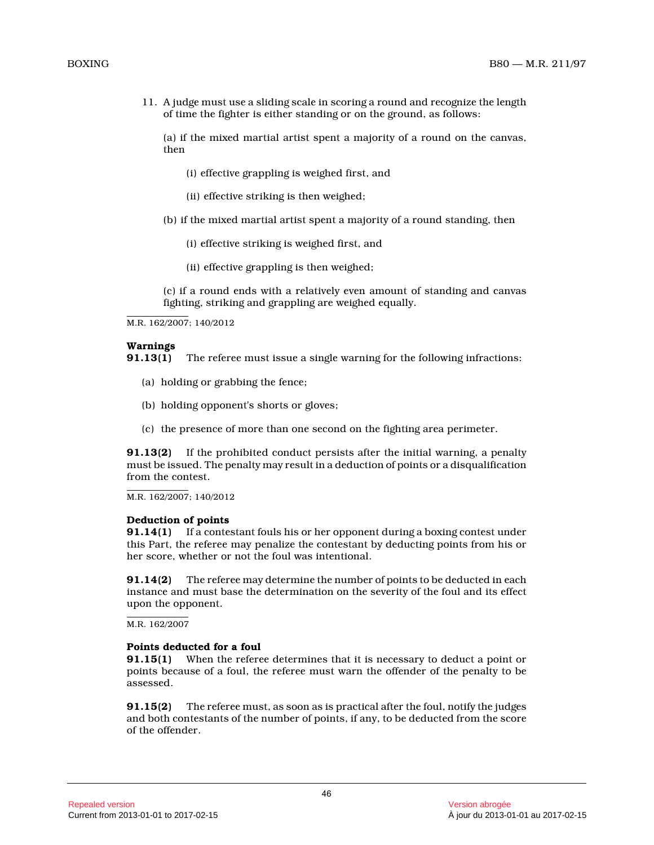11. A judge must use a sliding scale in scoring a round and recognize the length of time the fighter is either standing or on the ground, as follows:

(a) if the mixed martial artist spent a majority of a round on the canvas, then

(i) effective grappling is weighed first, and

- (ii) effective striking is then weighed;
- (b) if the mixed martial artist spent a majority of a round standing, then
	- (i) effective striking is weighed first, and
	- (ii) effective grappling is then weighed;

(c) if a round ends with a relatively even amount of standing and canvas fighting, striking and grappling are weighed equally.

M.R. 162/2007; 140/2012

#### **Warnings**

**91.13(1)** The referee must issue a single warning for the following infractions:

- (a) holding or grabbing the fence;
- (b) holding opponent's shorts or gloves;
- (c) the presence of more than one second on the fighting area perimeter.

**91.13(2)** If the prohibited conduct persists after the initial warning, a penalty must be issued. The penalty may result in a deduction of points or a disqualification from the contest.

M.R. 162/2007; 140/2012

#### **Deduction of points**

**91.14(1)** If a contestant fouls his or her opponent during a boxing contest under this Part, the referee may penalize the contestant by deducting points from his or her score, whether or not the foul was intentional.

**91.14(2)** The referee may determine the number of points to be deducted in each instance and must base the determination on the severity of the foul and its effect upon the opponent.

M.R. 162/2007

### **Points deducted for a foul**

**91.15(1)** When the referee determines that it is necessary to deduct a point or points because of a foul, the referee must warn the offender of the penalty to be assessed.

**91.15(2)** The referee must, as soon as is practical after the foul, notify the judges and both contestants of the number of points, if any, to be deducted from the score of the offender.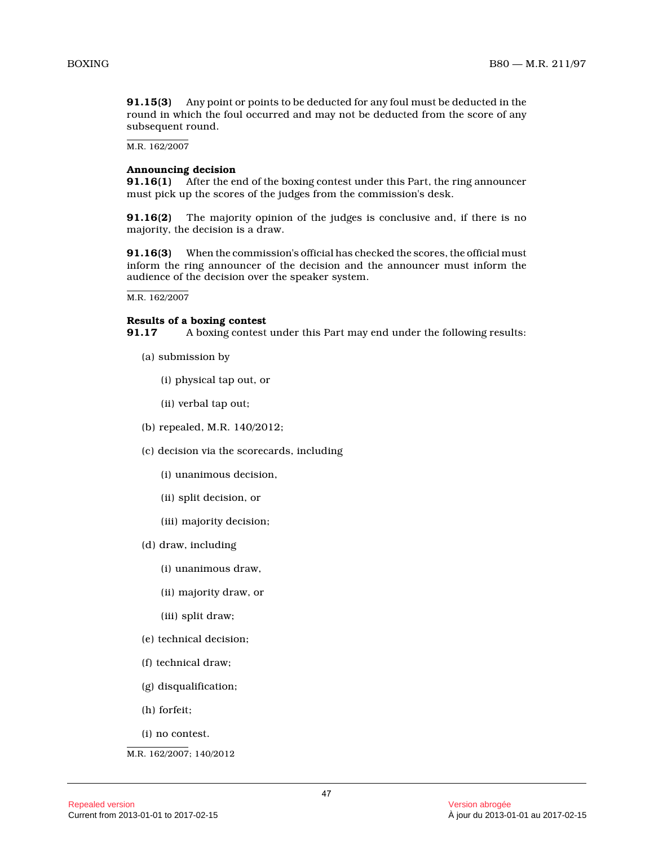**91.15(3)** Any point or points to be deducted for any foul must be deducted in the round in which the foul occurred and may not be deducted from the score of any subsequent round.

M.R. 162/2007

### **Announcing decision**

**91.16(1)** After the end of the boxing contest under this Part, the ring announcer must pick up the scores of the judges from the commission's desk.

**91.16(2)** The majority opinion of the judges is conclusive and, if there is no majority, the decision is a draw.

**91.16(3)** When the commission's official has checked the scores, the official must inform the ring announcer of the decision and the announcer must inform the audience of the decision over the speaker system.

M.R. 162/2007

#### **Results of a boxing contest**

**91.17** A boxing contest under this Part may end under the following results:

- (a) submission by
	- (i) physical tap out, or
	- (ii) verbal tap out;
- (b) repealed, M.R. 140/2012;
- (c) decision via the scorecards, including
	- (i) unanimous decision,
	- (ii) split decision, or
	- (iii) majority decision;
- (d) draw, including
	- (i) unanimous draw,
	- (ii) majority draw, or
	- (iii) split draw;
- (e) technical decision;
- (f) technical draw;
- (g) disqualification;
- (h) forfeit;
- (i) no contest.

M.R. 162/2007; 140/2012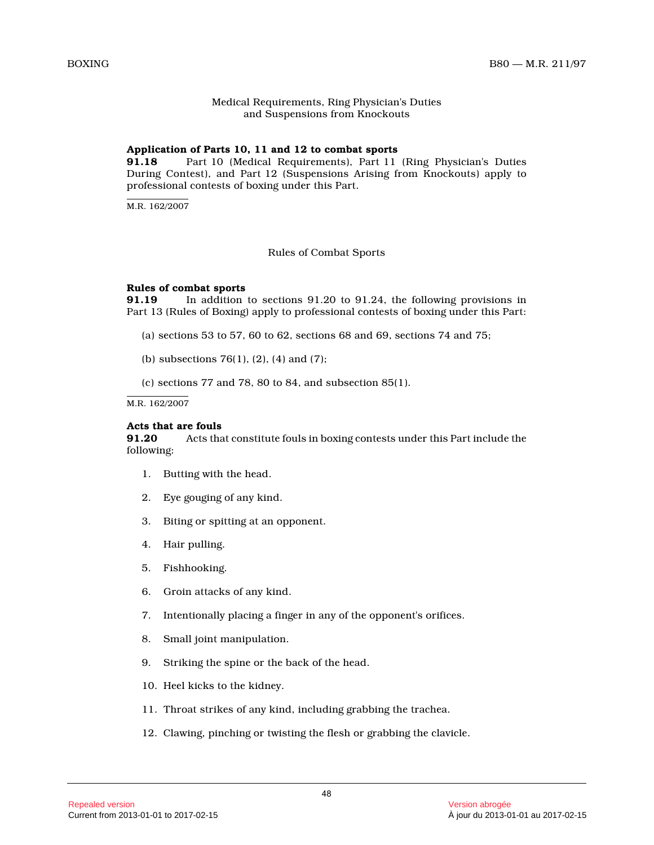# Medical Requirements, Ring Physician's Duties and Suspensions from Knockouts

# **Application of Parts 10, 11 and 12 to combat sports**

**91.18** Part 10 (Medical Requirements), Part 11 (Ring Physician's Duties During Contest), and Part 12 (Suspensions Arising from Knockouts) apply to professional contests of boxing under this Part.

 $M.R. 162/2007$ 

#### Rules of Combat Sports

# **Rules of combat sports**

**91.19** In addition to sections 91.20 to 91.24, the following provisions in Part 13 (Rules of Boxing) apply to professional contests of boxing under this Part:

- (a) sections 53 to 57, 60 to 62, sections 68 and 69, sections 74 and 75;
- (b) subsections 76(1), (2), (4) and (7);
- (c) sections  $77$  and  $78$ ,  $80$  to  $84$ , and subsection  $85(1)$ .

M.R. 162/2007

#### **Acts that are fouls**

**91.20** Acts that constitute fouls in boxing contests under this Part include the following:

- 1. Butting with the head.
- 2. Eye gouging of any kind.
- 3. Biting or spitting at an opponent.
- 4. Hair pulling.
- 5. Fishhooking.
- 6. Groin attacks of any kind.
- 7. Intentionally placing a finger in any of the opponent's orifices.
- 8. Small joint manipulation.
- 9. Striking the spine or the back of the head.
- 10. Heel kicks to the kidney.
- 11. Throat strikes of any kind, including grabbing the trachea.
- 12. Clawing, pinching or twisting the flesh or grabbing the clavicle.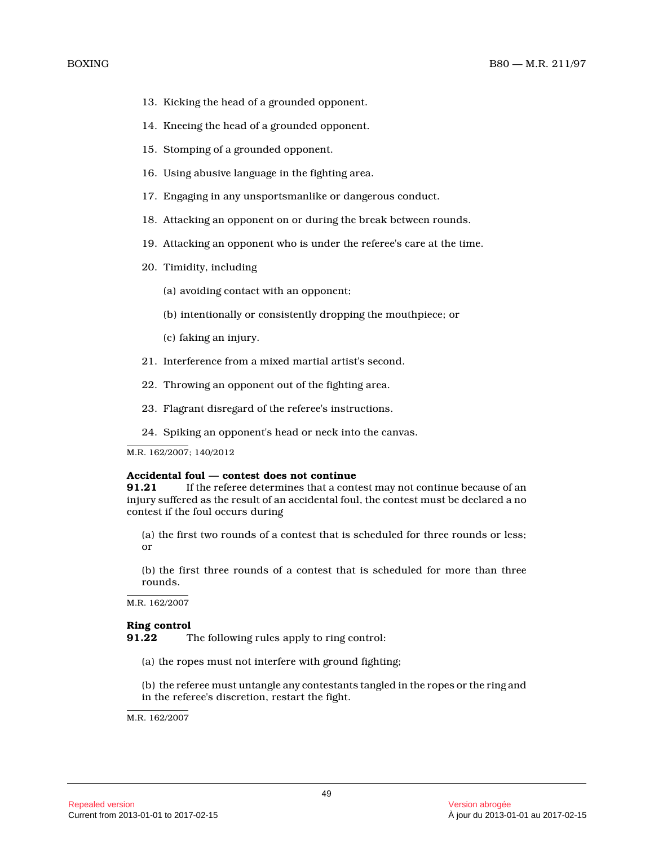- 13. Kicking the head of a grounded opponent.
- 14. Kneeing the head of a grounded opponent.
- 15. Stomping of a grounded opponent.
- 16. Using abusive language in the fighting area.
- 17. Engaging in any unsportsmanlike or dangerous conduct.
- 18. Attacking an opponent on or during the break between rounds.
- 19. Attacking an opponent who is under the referee's care at the time.
- 20. Timidity, including
	- (a) avoiding contact with an opponent;
	- (b) intentionally or consistently dropping the mouthpiece; or
	- (c) faking an injury.
- 21. Interference from a mixed martial artist's second.
- 22. Throwing an opponent out of the fighting area.
- 23. Flagrant disregard of the referee's instructions .
- 24. Spiking an opponent's head or neck into the canvas.

M.R. 162/2007; 140/2012

#### **Accidental foul — contest does not continue**

**91.21** If the referee determines that a contest may not continue because of an injury suffered as the result of an accidental foul, the contest must be declared a no contest if the foul occurs during

(a) the first two rounds of a contest that is scheduled for three rounds or less; or

(b) the first three rounds of a contest that is scheduled for more than three rounds.

M.R. 162/2007

# **Ring control**<br>91.22 T

The following rules apply to ring control:

(a) the ropes must not interfere with ground fighting;

(b) the referee must untangle any contestants tangled in the ropes or the ring and in the referee's discretion, restart the fight.

M.R. 162/2007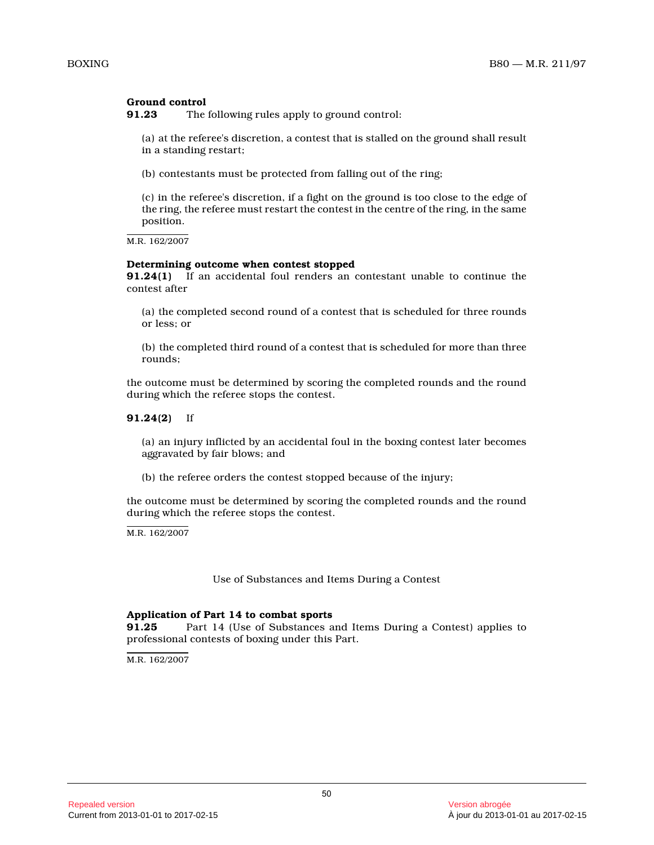# **Ground control**

**91.23** The following rules apply to ground control:

(a) at the referee's discretion, a contest that is stalled on the ground shall result in a standing restart;

(b) contestants must be protected from falling out of the ring;

(c) in the referee's discretion, if a fight on the ground is too close to the edge of the ring, the referee must restart the contest in the centre of the ring, in the same position.

M.R. 162/2007

#### **Determining outcome when contest stopped**

**91.24(1)** If an accidental foul renders an contestant unable to continue the contest after

(a) the completed second round of a contest that is scheduled for three rounds or less; or

(b) the completed third round of a contest that is scheduled for more than three rounds;

the outcome must be determined by scoring the completed rounds and the round during which the referee stops the contest.

#### **91.24(2)** If

(a) an injury inflicted by an accidental foul in the boxing contest later becomes aggravated by fair blows; and

(b) the referee orders the contest stopped because of the injury;

the outcome must be determined by scoring the completed rounds and the round during which the referee stops the contest.

M.R. 162/2007

Use of Substances and Items During a Contest

# **Application of Part 14 to combat sports**

Part 14 (Use of Substances and Items During a Contest) applies to professional contests of boxing under this Part.

M.R. 162/2007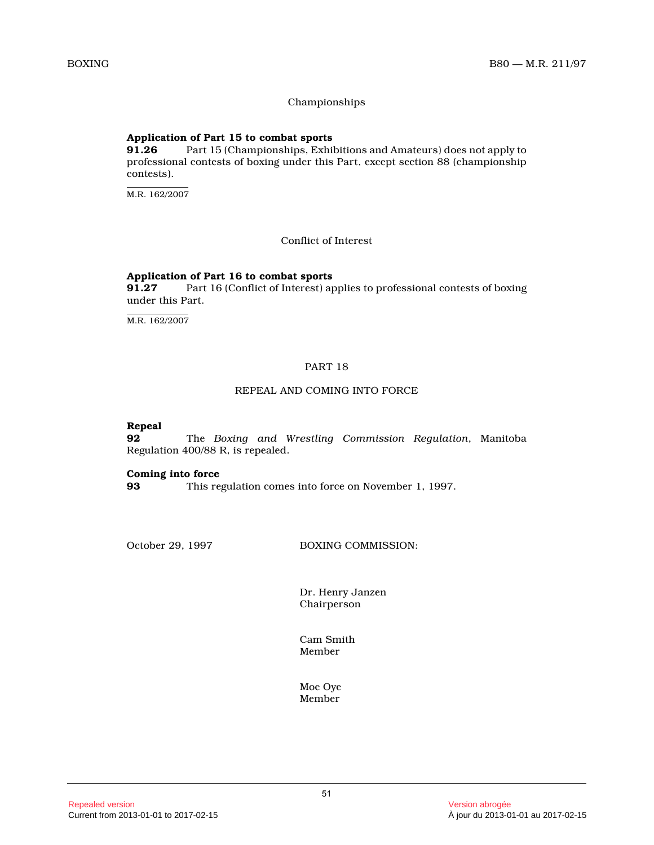# Championships

# **Application of Part 15 to combat sports**

**91.26** Part 15 (Championships, Exhibitions and Amateurs) does not apply to professional contests of boxing under this Part, except section 88 (championship contests).

M.R. 162/2007

Conflict of Interest

# **Application of Part 16 to combat sports**

Part 16 (Conflict of Interest) applies to professional contests of boxing under this Part.

M.R. 162/2007

### PART 18

# REPEAL AND COMING INTO FORCE

**Repeal**

**92** The *Boxing and Wrestling Commission Regulation*, Manitoba Regulation 400/88 R, is repealed.

#### **Coming into force**

**93** This regulation comes into force on November 1, 1997.

October 29, 1997 BOXING COMMISSION:

Dr. Henry Janzen Chairperson

Cam Smith Member

Moe Oye Member